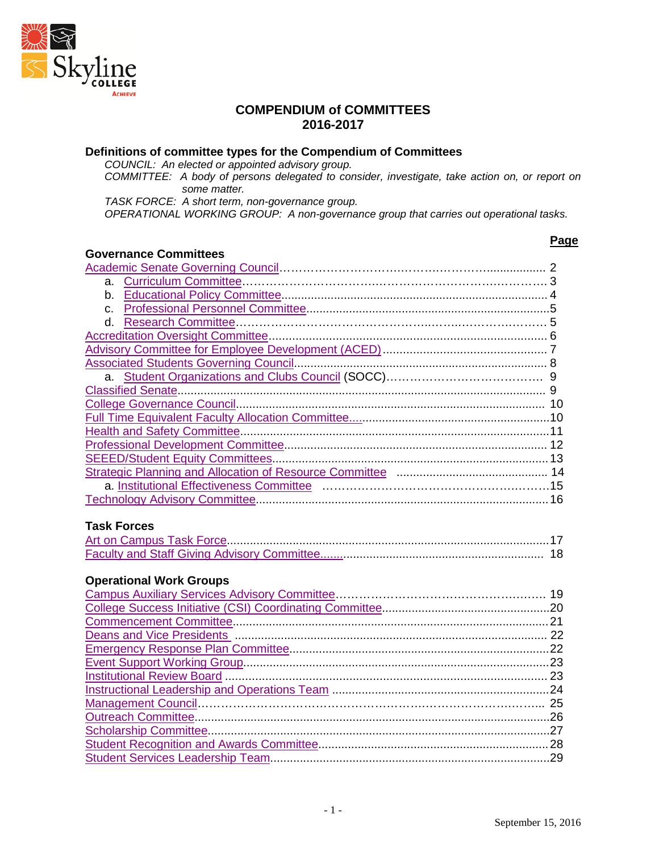

#### **COMPENDIUM of COMMITTEES 2016-2017**

#### **Definitions of committee types for the Compendium of Committees**

*COUNCIL: An elected or appointed advisory group.*

*COMMITTEE: A body of persons delegated to consider, investigate, take action on, or report on some matter.*

*TASK FORCE: A short term, non-governance group.*

*OPERATIONAL WORKING GROUP: A non-governance group that carries out operational tasks.*

#### **Governance Committees**

#### [Academic Senate Governing Council…](#page-1-0)……………………….……….………….................. 2 a. [Curriculum Committee…](#page-2-0)………………………….………………………….…………. 3 b. [Educational Policy Committee.](#page-3-0)................................................................................ 4 c. [Professional Personnel Committee.](#page-4-0).........................................................................5 d. [Research Committee…](#page-4-1)………………………………………..……..………….……… 5 [Accreditation Oversight Committee.](#page-5-0).................................................................................. 6 [Advisory Committee for Employee Development \(ACED\).](#page-5-1)................................................ 7 [Associated Students Governing Council.](#page-7-0)............................................................................ 8 a. [Student Organizations and Clubs Council](#page-8-0) (SOCC)…………………………………. 9 [Classified Senate.](#page-8-1)............................................................................................................... 9 [College Governance Council.](#page-9-0)............................................................................................. 10 [Full Time Equivalent Faculty Allocation Committee.....](#page-9-1)........................................................10 [Health and Safety Committee.](#page-10-0).............................................................................................11 [Professional Development Committee.](#page-11-0)............................................................................... 12 [SEEED/Student Equity](#page-12-0) Committees....................................................................................13 [Strategic Planning and Allocation of Resource Committee](#page-13-0) .............................................. 14 a. [Institutional Effectiveness Committee](#page-13-1) ………………………………………….………15 [Technology Advisory Committee.](#page-15-0)........................................................................................16

#### **Task Forces**

#### **Operational Work Groups**

**Page**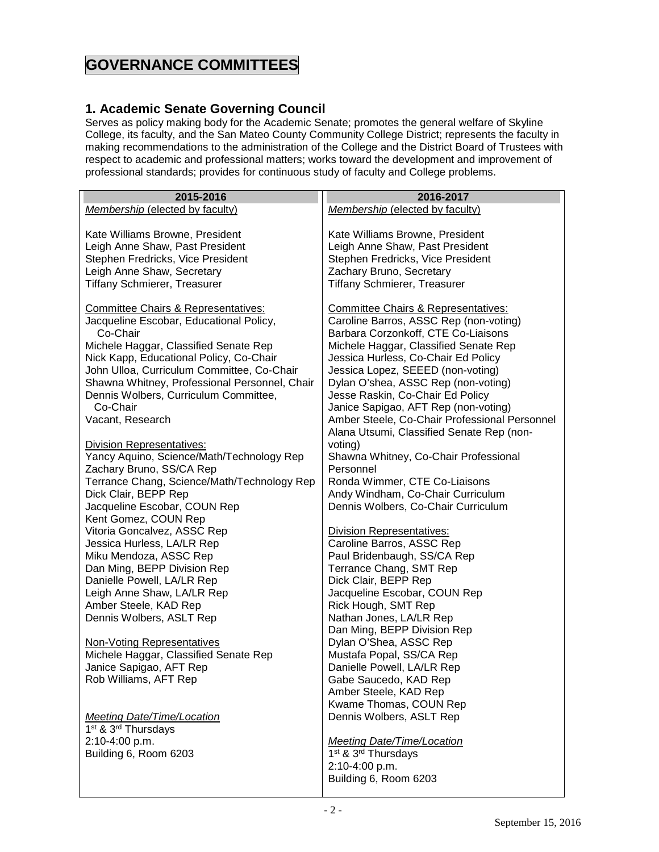## **GOVERNANCE COMMITTEES**

#### <span id="page-1-0"></span>**1. Academic Senate Governing Council**

Serves as policy making body for the Academic Senate; promotes the general welfare of Skyline College, its faculty, and the San Mateo County Community College District; represents the faculty in making recommendations to the administration of the College and the District Board of Trustees with respect to academic and professional matters; works toward the development and improvement of professional standards; provides for continuous study of faculty and College problems.

| 2015-2016                                      | 2016-2017                                     |
|------------------------------------------------|-----------------------------------------------|
| <b>Membership (elected by faculty)</b>         | <b>Membership (elected by faculty)</b>        |
|                                                |                                               |
| Kate Williams Browne, President                | Kate Williams Browne, President               |
| Leigh Anne Shaw, Past President                | Leigh Anne Shaw, Past President               |
| Stephen Fredricks, Vice President              | Stephen Fredricks, Vice President             |
| Leigh Anne Shaw, Secretary                     | Zachary Bruno, Secretary                      |
| <b>Tiffany Schmierer, Treasurer</b>            | <b>Tiffany Schmierer, Treasurer</b>           |
|                                                |                                               |
| <b>Committee Chairs &amp; Representatives:</b> | Committee Chairs & Representatives:           |
| Jacqueline Escobar, Educational Policy,        | Caroline Barros, ASSC Rep (non-voting)        |
| Co-Chair                                       | Barbara Corzonkoff, CTE Co-Liaisons           |
| Michele Haggar, Classified Senate Rep          | Michele Haggar, Classified Senate Rep         |
| Nick Kapp, Educational Policy, Co-Chair        | Jessica Hurless, Co-Chair Ed Policy           |
| John Ulloa, Curriculum Committee, Co-Chair     | Jessica Lopez, SEEED (non-voting)             |
| Shawna Whitney, Professional Personnel, Chair  | Dylan O'shea, ASSC Rep (non-voting)           |
| Dennis Wolbers, Curriculum Committee,          | Jesse Raskin, Co-Chair Ed Policy              |
| Co-Chair                                       | Janice Sapigao, AFT Rep (non-voting)          |
| Vacant, Research                               | Amber Steele, Co-Chair Professional Personnel |
|                                                | Alana Utsumi, Classified Senate Rep (non-     |
| <b>Division Representatives:</b>               | voting)                                       |
| Yancy Aquino, Science/Math/Technology Rep      | Shawna Whitney, Co-Chair Professional         |
| Zachary Bruno, SS/CA Rep                       | Personnel                                     |
| Terrance Chang, Science/Math/Technology Rep    | Ronda Wimmer, CTE Co-Liaisons                 |
| Dick Clair, BEPP Rep                           | Andy Windham, Co-Chair Curriculum             |
| Jacqueline Escobar, COUN Rep                   | Dennis Wolbers, Co-Chair Curriculum           |
| Kent Gomez, COUN Rep                           |                                               |
| Vitoria Goncalvez, ASSC Rep                    | <b>Division Representatives:</b>              |
| Jessica Hurless, LA/LR Rep                     | Caroline Barros, ASSC Rep                     |
| Miku Mendoza, ASSC Rep                         | Paul Bridenbaugh, SS/CA Rep                   |
| Dan Ming, BEPP Division Rep                    | Terrance Chang, SMT Rep                       |
| Danielle Powell, LA/LR Rep                     | Dick Clair, BEPP Rep                          |
| Leigh Anne Shaw, LA/LR Rep                     | Jacqueline Escobar, COUN Rep                  |
| Amber Steele, KAD Rep                          | Rick Hough, SMT Rep                           |
| Dennis Wolbers, ASLT Rep                       | Nathan Jones, LA/LR Rep                       |
|                                                | Dan Ming, BEPP Division Rep                   |
| <b>Non-Voting Representatives</b>              | Dylan O'Shea, ASSC Rep                        |
| Michele Haggar, Classified Senate Rep          | Mustafa Popal, SS/CA Rep                      |
| Janice Sapigao, AFT Rep                        | Danielle Powell, LA/LR Rep                    |
| Rob Williams, AFT Rep                          | Gabe Saucedo, KAD Rep                         |
|                                                | Amber Steele, KAD Rep                         |
|                                                | Kwame Thomas, COUN Rep                        |
| <b>Meeting Date/Time/Location</b>              | Dennis Wolbers, ASLT Rep                      |
| 1 <sup>st</sup> & 3 <sup>rd</sup> Thursdays    |                                               |
| 2:10-4:00 p.m.                                 | <b>Meeting Date/Time/Location</b>             |
| Building 6, Room 6203                          | 1 <sup>st</sup> & 3 <sup>rd</sup> Thursdays   |
|                                                | 2:10-4:00 p.m.                                |
|                                                | Building 6, Room 6203                         |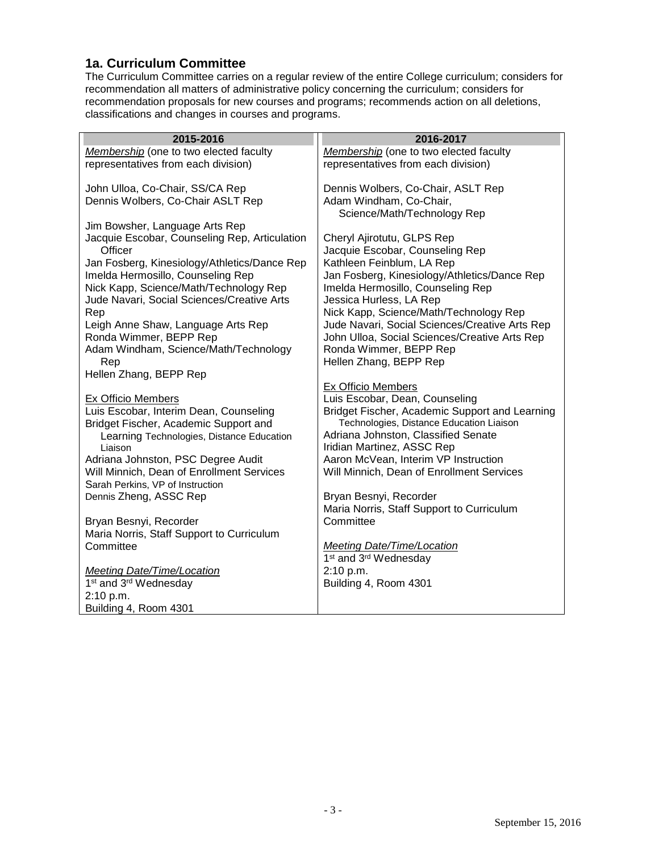#### <span id="page-2-0"></span>**1a. Curriculum Committee**

The Curriculum Committee carries on a regular review of the entire College curriculum; considers for recommendation all matters of administrative policy concerning the curriculum; considers for recommendation proposals for new courses and programs; recommends action on all deletions, classifications and changes in courses and programs.

| 2015-2016                                                  | 2016-2017                                      |
|------------------------------------------------------------|------------------------------------------------|
| Membership (one to two elected faculty                     | Membership (one to two elected faculty         |
| representatives from each division)                        | representatives from each division)            |
|                                                            |                                                |
| John Ulloa, Co-Chair, SS/CA Rep                            | Dennis Wolbers, Co-Chair, ASLT Rep             |
| Dennis Wolbers, Co-Chair ASLT Rep                          | Adam Windham, Co-Chair,                        |
| Jim Bowsher, Language Arts Rep                             | Science/Math/Technology Rep                    |
| Jacquie Escobar, Counseling Rep, Articulation              | Cheryl Ajirotutu, GLPS Rep                     |
| Officer                                                    | Jacquie Escobar, Counseling Rep                |
| Jan Fosberg, Kinesiology/Athletics/Dance Rep               | Kathleen Feinblum, LA Rep                      |
| Imelda Hermosillo, Counseling Rep                          | Jan Fosberg, Kinesiology/Athletics/Dance Rep   |
| Nick Kapp, Science/Math/Technology Rep                     | Imelda Hermosillo, Counseling Rep              |
| Jude Navari, Social Sciences/Creative Arts                 | Jessica Hurless, LA Rep                        |
| Rep                                                        | Nick Kapp, Science/Math/Technology Rep         |
| Leigh Anne Shaw, Language Arts Rep                         | Jude Navari, Social Sciences/Creative Arts Rep |
| Ronda Wimmer, BEPP Rep                                     | John Ulloa, Social Sciences/Creative Arts Rep  |
| Adam Windham, Science/Math/Technology                      | Ronda Wimmer, BEPP Rep                         |
| Rep<br>Hellen Zhang, BEPP Rep                              | Hellen Zhang, BEPP Rep                         |
|                                                            | <b>Ex Officio Members</b>                      |
| Ex Officio Members                                         | Luis Escobar, Dean, Counseling                 |
| Luis Escobar, Interim Dean, Counseling                     | Bridget Fischer, Academic Support and Learning |
| Bridget Fischer, Academic Support and                      | Technologies, Distance Education Liaison       |
| Learning Technologies, Distance Education                  | Adriana Johnston, Classified Senate            |
| Liaison                                                    | Iridian Martinez, ASSC Rep                     |
| Adriana Johnston, PSC Degree Audit                         | Aaron McVean, Interim VP Instruction           |
| Will Minnich, Dean of Enrollment Services                  | Will Minnich, Dean of Enrollment Services      |
| Sarah Perkins, VP of Instruction<br>Dennis Zheng, ASSC Rep | Bryan Besnyi, Recorder                         |
|                                                            | Maria Norris, Staff Support to Curriculum      |
| Bryan Besnyi, Recorder                                     | Committee                                      |
| Maria Norris, Staff Support to Curriculum                  |                                                |
| Committee                                                  | <b>Meeting Date/Time/Location</b>              |
|                                                            | 1 <sup>st</sup> and 3 <sup>rd</sup> Wednesday  |
| Meeting Date/Time/Location                                 | 2:10 p.m.                                      |
| 1 <sup>st</sup> and 3 <sup>rd</sup> Wednesday              | Building 4, Room 4301                          |
| 2:10 p.m.                                                  |                                                |
| Building 4, Room 4301                                      |                                                |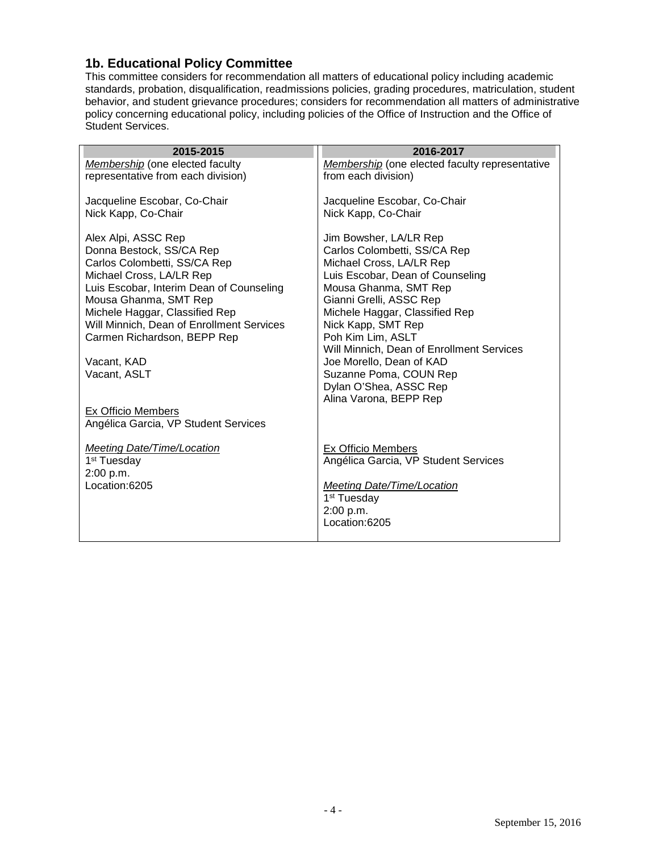#### <span id="page-3-0"></span>**1b. Educational Policy Committee**

This committee considers for recommendation all matters of educational policy including academic standards, probation, disqualification, readmissions policies, grading procedures, matriculation, student behavior, and student grievance procedures; considers for recommendation all matters of administrative policy concerning educational policy, including policies of the Office of Instruction and the Office of Student Services.

| 2015-2015                                                                                                                                                                                                                                                                                                                                                                                   | 2016-2017                                                                                                                                                                                                                                                                                                                                                                                                      |
|---------------------------------------------------------------------------------------------------------------------------------------------------------------------------------------------------------------------------------------------------------------------------------------------------------------------------------------------------------------------------------------------|----------------------------------------------------------------------------------------------------------------------------------------------------------------------------------------------------------------------------------------------------------------------------------------------------------------------------------------------------------------------------------------------------------------|
| Membership (one elected faculty<br>representative from each division)                                                                                                                                                                                                                                                                                                                       | <b>Membership</b> (one elected faculty representative<br>from each division)                                                                                                                                                                                                                                                                                                                                   |
| Jacqueline Escobar, Co-Chair<br>Nick Kapp, Co-Chair                                                                                                                                                                                                                                                                                                                                         | Jacqueline Escobar, Co-Chair<br>Nick Kapp, Co-Chair                                                                                                                                                                                                                                                                                                                                                            |
| Alex Alpi, ASSC Rep<br>Donna Bestock, SS/CA Rep<br>Carlos Colombetti, SS/CA Rep<br>Michael Cross, LA/LR Rep<br>Luis Escobar, Interim Dean of Counseling<br>Mousa Ghanma, SMT Rep<br>Michele Haggar, Classified Rep<br>Will Minnich, Dean of Enrollment Services<br>Carmen Richardson, BEPP Rep<br>Vacant, KAD<br>Vacant, ASLT<br>Ex Officio Members<br>Angélica Garcia, VP Student Services | Jim Bowsher, LA/LR Rep<br>Carlos Colombetti, SS/CA Rep<br>Michael Cross, LA/LR Rep<br>Luis Escobar, Dean of Counseling<br>Mousa Ghanma, SMT Rep<br>Gianni Grelli, ASSC Rep<br>Michele Haggar, Classified Rep<br>Nick Kapp, SMT Rep<br>Poh Kim Lim, ASLT<br>Will Minnich, Dean of Enrollment Services<br>Joe Morello, Dean of KAD<br>Suzanne Poma, COUN Rep<br>Dylan O'Shea, ASSC Rep<br>Alina Varona, BEPP Rep |
| <b>Meeting Date/Time/Location</b><br>1 <sup>st</sup> Tuesday<br>2:00 p.m.<br>Location:6205                                                                                                                                                                                                                                                                                                  | <b>Ex Officio Members</b><br>Angélica Garcia, VP Student Services<br><b>Meeting Date/Time/Location</b><br>1 <sup>st</sup> Tuesday<br>2:00 p.m.<br>Location:6205                                                                                                                                                                                                                                                |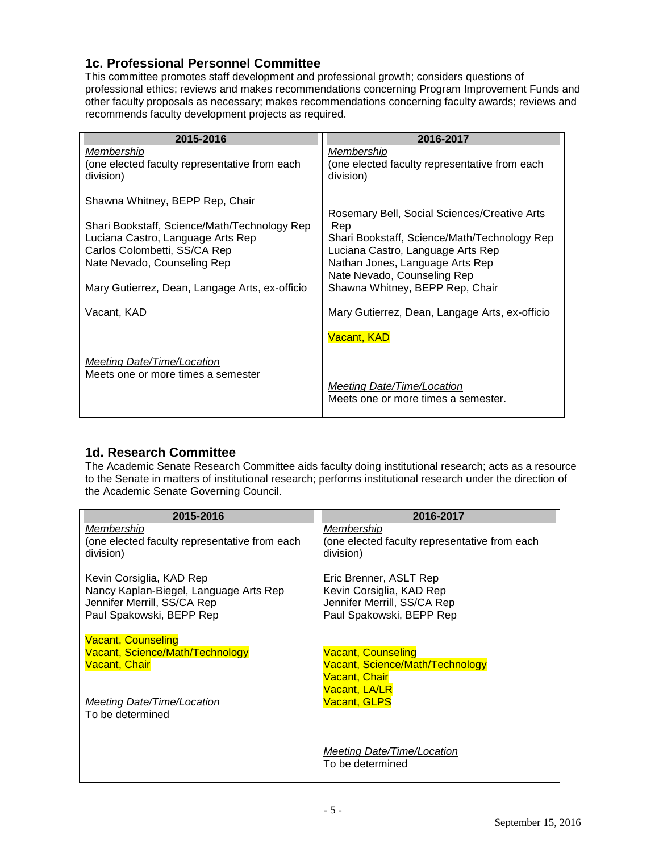#### <span id="page-4-0"></span>**1c. Professional Personnel Committee**

This committee promotes staff development and professional growth; considers questions of professional ethics; reviews and makes recommendations concerning Program Improvement Funds and other faculty proposals as necessary; makes recommendations concerning faculty awards; reviews and recommends faculty development projects as required.

| 2015-2016                                                                                                                                                                                          | 2016-2017                                                                                                                                                                                                                                     |
|----------------------------------------------------------------------------------------------------------------------------------------------------------------------------------------------------|-----------------------------------------------------------------------------------------------------------------------------------------------------------------------------------------------------------------------------------------------|
| <u>Membership</u><br>(one elected faculty representative from each<br>division)                                                                                                                    | <u>Membership</u><br>(one elected faculty representative from each<br>division)                                                                                                                                                               |
| Shawna Whitney, BEPP Rep, Chair                                                                                                                                                                    |                                                                                                                                                                                                                                               |
| Shari Bookstaff, Science/Math/Technology Rep<br>Luciana Castro, Language Arts Rep<br>Carlos Colombetti, SS/CA Rep<br>Nate Nevado, Counseling Rep<br>Mary Gutierrez, Dean, Langage Arts, ex-officio | Rosemary Bell, Social Sciences/Creative Arts<br>Rep<br>Shari Bookstaff, Science/Math/Technology Rep<br>Luciana Castro, Language Arts Rep<br>Nathan Jones, Language Arts Rep<br>Nate Nevado, Counseling Rep<br>Shawna Whitney, BEPP Rep, Chair |
| Vacant, KAD                                                                                                                                                                                        | Mary Gutierrez, Dean, Langage Arts, ex-officio                                                                                                                                                                                                |
|                                                                                                                                                                                                    | <b>Vacant, KAD</b>                                                                                                                                                                                                                            |
| Meeting Date/Time/Location<br>Meets one or more times a semester                                                                                                                                   | <b>Meeting Date/Time/Location</b><br>Meets one or more times a semester.                                                                                                                                                                      |

## <span id="page-4-1"></span>**1d. Research Committee**

The Academic Senate Research Committee aids faculty doing institutional research; acts as a resource to the Senate in matters of institutional research; performs institutional research under the direction of the Academic Senate Governing Council.

| 2015-2016                                                                                                                     | 2016-2017                                                                                                     |
|-------------------------------------------------------------------------------------------------------------------------------|---------------------------------------------------------------------------------------------------------------|
| Membership<br>(one elected faculty representative from each<br>division)                                                      | Membership<br>(one elected faculty representative from each<br>division)                                      |
| Kevin Corsiglia, KAD Rep<br>Nancy Kaplan-Biegel, Language Arts Rep<br>Jennifer Merrill, SS/CA Rep<br>Paul Spakowski, BEPP Rep | Eric Brenner, ASLT Rep<br>Kevin Corsiglia, KAD Rep<br>Jennifer Merrill, SS/CA Rep<br>Paul Spakowski, BEPP Rep |
| <b>Vacant, Counseling</b><br>Vacant, Science/Math/Technology<br><b>Vacant, Chair</b>                                          | <b>Vacant, Counseling</b><br>Vacant, Science/Math/Technology<br>Vacant, Chair<br>Vacant, LA/LR                |
| Meeting Date/Time/Location<br>To be determined                                                                                | <b>Vacant, GLPS</b>                                                                                           |
|                                                                                                                               | Meeting Date/Time/Location<br>To be determined                                                                |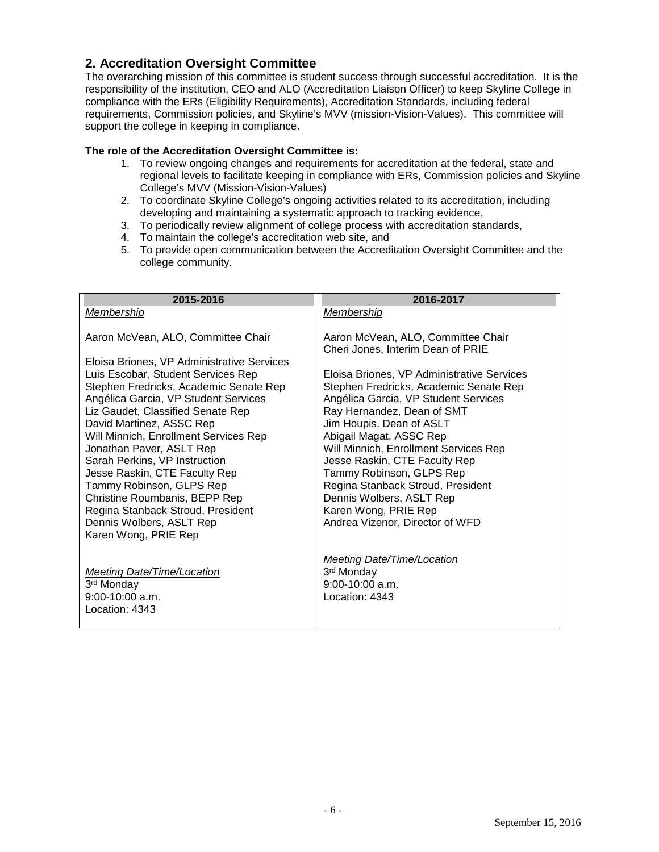#### <span id="page-5-0"></span>**2. Accreditation Oversight Committee**

The overarching mission of this committee is student success through successful accreditation. It is the responsibility of the institution, CEO and ALO (Accreditation Liaison Officer) to keep Skyline College in compliance with the ERs (Eligibility Requirements), Accreditation Standards, including federal requirements, Commission policies, and Skyline's MVV (mission-Vision-Values). This committee will support the college in keeping in compliance.

#### **The role of the Accreditation Oversight Committee is:**

- 1. To review ongoing changes and requirements for accreditation at the federal, state and regional levels to facilitate keeping in compliance with ERs, Commission policies and Skyline College's MVV (Mission-Vision-Values)
- 2. To coordinate Skyline College's ongoing activities related to its accreditation, including developing and maintaining a systematic approach to tracking evidence,
- 3. To periodically review alignment of college process with accreditation standards,
- 4. To maintain the college's accreditation web site, and
- 5. To provide open communication between the Accreditation Oversight Committee and the college community.

<span id="page-5-1"></span>

| 2015-2016                                                                                                                                                                                                                                                                                                                                                                                                                                                  | 2016-2017                                                                                                                                                                                                                                                                                                                                                                                                                                           |
|------------------------------------------------------------------------------------------------------------------------------------------------------------------------------------------------------------------------------------------------------------------------------------------------------------------------------------------------------------------------------------------------------------------------------------------------------------|-----------------------------------------------------------------------------------------------------------------------------------------------------------------------------------------------------------------------------------------------------------------------------------------------------------------------------------------------------------------------------------------------------------------------------------------------------|
| Membership                                                                                                                                                                                                                                                                                                                                                                                                                                                 | Membership                                                                                                                                                                                                                                                                                                                                                                                                                                          |
| Aaron McVean, ALO, Committee Chair                                                                                                                                                                                                                                                                                                                                                                                                                         | Aaron McVean, ALO, Committee Chair<br>Cheri Jones, Interim Dean of PRIE                                                                                                                                                                                                                                                                                                                                                                             |
| Eloisa Briones, VP Administrative Services                                                                                                                                                                                                                                                                                                                                                                                                                 |                                                                                                                                                                                                                                                                                                                                                                                                                                                     |
| Luis Escobar, Student Services Rep<br>Stephen Fredricks, Academic Senate Rep<br>Angélica Garcia, VP Student Services<br>Liz Gaudet, Classified Senate Rep<br>David Martinez, ASSC Rep<br>Will Minnich, Enrollment Services Rep<br>Jonathan Paver, ASLT Rep<br>Sarah Perkins, VP Instruction<br>Jesse Raskin, CTE Faculty Rep<br>Tammy Robinson, GLPS Rep<br>Christine Roumbanis, BEPP Rep<br>Regina Stanback Stroud, President<br>Dennis Wolbers, ASLT Rep | Eloisa Briones, VP Administrative Services<br>Stephen Fredricks, Academic Senate Rep<br>Angélica Garcia, VP Student Services<br>Ray Hernandez, Dean of SMT<br>Jim Houpis, Dean of ASLT<br>Abigail Magat, ASSC Rep<br>Will Minnich, Enrollment Services Rep<br>Jesse Raskin, CTE Faculty Rep<br>Tammy Robinson, GLPS Rep<br>Regina Stanback Stroud, President<br>Dennis Wolbers, ASLT Rep<br>Karen Wong, PRIE Rep<br>Andrea Vizenor, Director of WFD |
| Karen Wong, PRIE Rep                                                                                                                                                                                                                                                                                                                                                                                                                                       |                                                                                                                                                                                                                                                                                                                                                                                                                                                     |
| <b>Meeting Date/Time/Location</b><br>3rd Monday<br>$9:00-10:00$ a.m.<br>Location: $4343$                                                                                                                                                                                                                                                                                                                                                                   | <b>Meeting Date/Time/Location</b><br>3 <sup>rd</sup> Monday<br>$9:00-10:00$ a.m.<br>Location: 4343                                                                                                                                                                                                                                                                                                                                                  |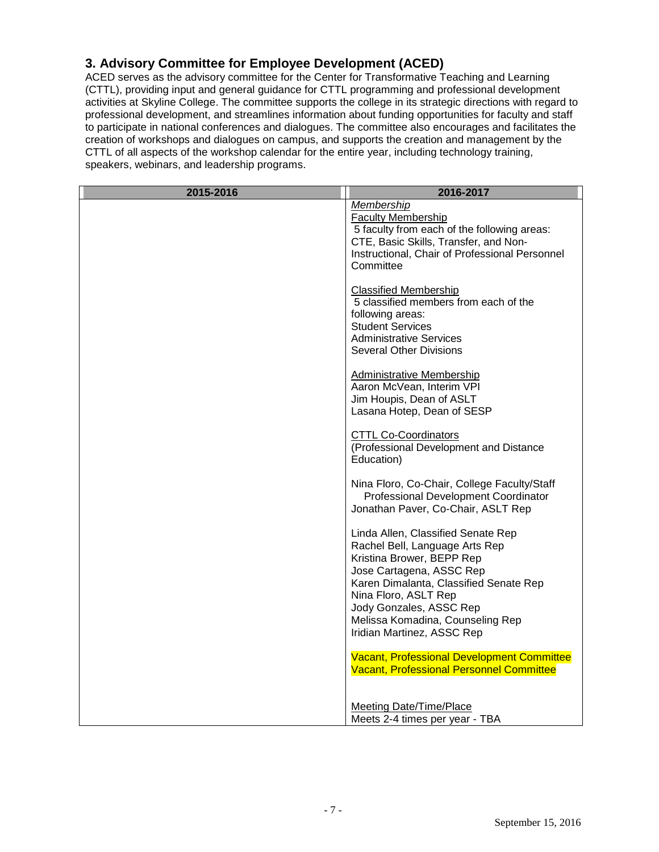## **3. Advisory Committee for Employee Development (ACED)**

ACED serves as the advisory committee for the Center for Transformative Teaching and Learning (CTTL), providing input and general guidance for CTTL programming and professional development activities at Skyline College. The committee supports the college in its strategic directions with regard to professional development, and streamlines information about funding opportunities for faculty and staff to participate in national conferences and dialogues. The committee also encourages and facilitates the creation of workshops and dialogues on campus, and supports the creation and management by the CTTL of all aspects of the workshop calendar for the entire year, including technology training, speakers, webinars, and leadership programs.

| 2015-2016 | 2016-2017                                                                                                                                                                                                                                                                                    |
|-----------|----------------------------------------------------------------------------------------------------------------------------------------------------------------------------------------------------------------------------------------------------------------------------------------------|
|           | Membership<br><b>Faculty Membership</b><br>5 faculty from each of the following areas:<br>CTE, Basic Skills, Transfer, and Non-<br>Instructional, Chair of Professional Personnel<br>Committee                                                                                               |
|           | <b>Classified Membership</b><br>5 classified members from each of the<br>following areas:<br><b>Student Services</b><br><b>Administrative Services</b><br><b>Several Other Divisions</b>                                                                                                     |
|           | <b>Administrative Membership</b><br>Aaron McVean, Interim VPI<br>Jim Houpis, Dean of ASLT<br>Lasana Hotep, Dean of SESP                                                                                                                                                                      |
|           | <b>CTTL Co-Coordinators</b><br>(Professional Development and Distance<br>Education)                                                                                                                                                                                                          |
|           | Nina Floro, Co-Chair, College Faculty/Staff<br>Professional Development Coordinator<br>Jonathan Paver, Co-Chair, ASLT Rep                                                                                                                                                                    |
|           | Linda Allen, Classified Senate Rep<br>Rachel Bell, Language Arts Rep<br>Kristina Brower, BEPP Rep<br>Jose Cartagena, ASSC Rep<br>Karen Dimalanta, Classified Senate Rep<br>Nina Floro, ASLT Rep<br>Jody Gonzales, ASSC Rep<br>Melissa Komadina, Counseling Rep<br>Iridian Martinez, ASSC Rep |
|           | <b>Vacant, Professional Development Committee</b><br><b>Vacant, Professional Personnel Committee</b>                                                                                                                                                                                         |
|           | <b>Meeting Date/Time/Place</b><br>Meets 2-4 times per year - TBA                                                                                                                                                                                                                             |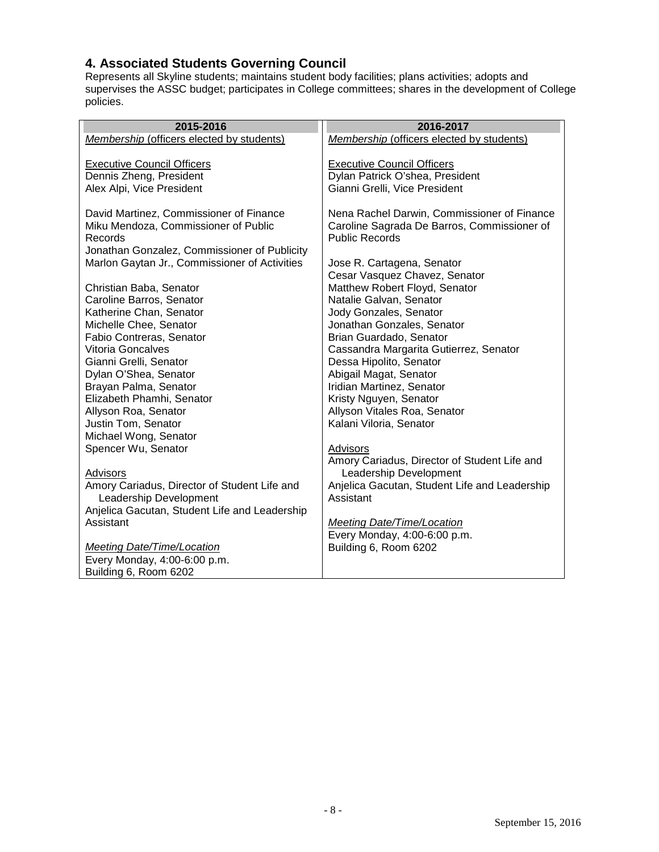#### <span id="page-7-0"></span>**4. Associated Students Governing Council**

Represents all Skyline students; maintains student body facilities; plans activities; adopts and supervises the ASSC budget; participates in College committees; shares in the development of College policies.

| 2015-2016                                     | 2016-2017                                        |
|-----------------------------------------------|--------------------------------------------------|
| Membership (officers elected by students)     | <b>Membership (officers elected by students)</b> |
|                                               |                                                  |
| <b>Executive Council Officers</b>             | <b>Executive Council Officers</b>                |
| Dennis Zheng, President                       | Dylan Patrick O'shea, President                  |
| Alex Alpi, Vice President                     | Gianni Grelli, Vice President                    |
|                                               |                                                  |
| David Martinez, Commissioner of Finance       | Nena Rachel Darwin, Commissioner of Finance      |
| Miku Mendoza, Commissioner of Public          | Caroline Sagrada De Barros, Commissioner of      |
| Records                                       | <b>Public Records</b>                            |
| Jonathan Gonzalez, Commissioner of Publicity  |                                                  |
| Marlon Gaytan Jr., Commissioner of Activities | Jose R. Cartagena, Senator                       |
|                                               | Cesar Vasquez Chavez, Senator                    |
| Christian Baba, Senator                       | Matthew Robert Floyd, Senator                    |
| Caroline Barros, Senator                      | Natalie Galvan, Senator                          |
| Katherine Chan, Senator                       | Jody Gonzales, Senator                           |
| Michelle Chee, Senator                        | Jonathan Gonzales, Senator                       |
| Fabio Contreras, Senator                      | Brian Guardado, Senator                          |
| <b>Vitoria Goncalves</b>                      | Cassandra Margarita Gutierrez, Senator           |
| Gianni Grelli, Senator                        | Dessa Hipolito, Senator                          |
| Dylan O'Shea, Senator                         | Abigail Magat, Senator                           |
| Brayan Palma, Senator                         | Iridian Martinez, Senator                        |
| Elizabeth Phamhi, Senator                     | Kristy Nguyen, Senator                           |
| Allyson Roa, Senator                          | Allyson Vitales Roa, Senator                     |
| Justin Tom, Senator                           | Kalani Viloria, Senator                          |
| Michael Wong, Senator                         |                                                  |
| Spencer Wu, Senator                           | Advisors                                         |
|                                               | Amory Cariadus, Director of Student Life and     |
| Advisors                                      | Leadership Development                           |
| Amory Cariadus, Director of Student Life and  | Anjelica Gacutan, Student Life and Leadership    |
| Leadership Development                        | Assistant                                        |
| Anjelica Gacutan, Student Life and Leadership |                                                  |
| Assistant                                     | <b>Meeting Date/Time/Location</b>                |
|                                               | Every Monday, 4:00-6:00 p.m.                     |
| <b>Meeting Date/Time/Location</b>             | Building 6, Room 6202                            |
| Every Monday, 4:00-6:00 p.m.                  |                                                  |
| Building 6, Room 6202                         |                                                  |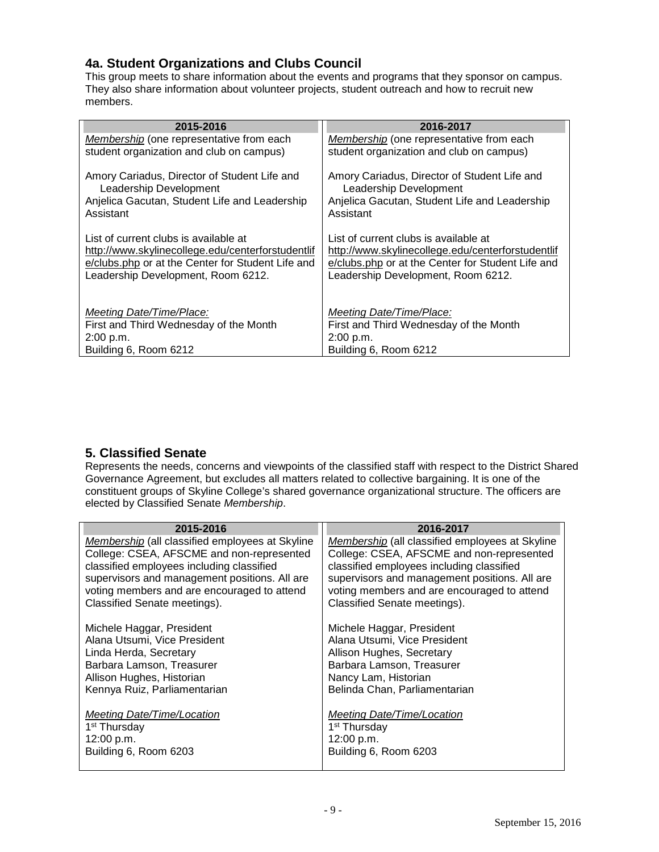## <span id="page-8-0"></span>**4a. Student Organizations and Clubs Council**

This group meets to share information about the events and programs that they sponsor on campus. They also share information about volunteer projects, student outreach and how to recruit new members.

| 2015-2016                                                                                                                                                                             | 2016-2017                                                                                                                                                                             |
|---------------------------------------------------------------------------------------------------------------------------------------------------------------------------------------|---------------------------------------------------------------------------------------------------------------------------------------------------------------------------------------|
| <b>Membership</b> (one representative from each                                                                                                                                       | Membership (one representative from each                                                                                                                                              |
| student organization and club on campus)                                                                                                                                              | student organization and club on campus)                                                                                                                                              |
| Amory Cariadus, Director of Student Life and<br>Leadership Development                                                                                                                | Amory Cariadus, Director of Student Life and<br>Leadership Development                                                                                                                |
| Anjelica Gacutan, Student Life and Leadership<br>Assistant                                                                                                                            | Anjelica Gacutan, Student Life and Leadership<br>Assistant                                                                                                                            |
| List of current clubs is available at<br>http://www.skylinecollege.edu/centerforstudentlif<br>e/clubs.php or at the Center for Student Life and<br>Leadership Development, Room 6212. | List of current clubs is available at<br>http://www.skylinecollege.edu/centerforstudentlif<br>e/clubs.php or at the Center for Student Life and<br>Leadership Development, Room 6212. |
| Meeting Date/Time/Place:                                                                                                                                                              | Meeting Date/Time/Place:                                                                                                                                                              |
| First and Third Wednesday of the Month                                                                                                                                                | First and Third Wednesday of the Month                                                                                                                                                |
| 2:00 p.m.                                                                                                                                                                             | 2:00 p.m.                                                                                                                                                                             |
| Building 6, Room 6212                                                                                                                                                                 | Building 6, Room 6212                                                                                                                                                                 |

## <span id="page-8-1"></span>**5. Classified Senate**

Represents the needs, concerns and viewpoints of the classified staff with respect to the District Shared Governance Agreement, but excludes all matters related to collective bargaining. It is one of the constituent groups of Skyline College's shared governance organizational structure. The officers are elected by Classified Senate *Membership*.

| 2015-2016                                       | 2016-2017                                       |
|-------------------------------------------------|-------------------------------------------------|
| Membership (all classified employees at Skyline | Membership (all classified employees at Skyline |
| College: CSEA, AFSCME and non-represented       | College: CSEA, AFSCME and non-represented       |
| classified employees including classified       | classified employees including classified       |
| supervisors and management positions. All are   | supervisors and management positions. All are   |
| voting members and are encouraged to attend     | voting members and are encouraged to attend     |
| Classified Senate meetings).                    | Classified Senate meetings).                    |
|                                                 |                                                 |
| Michele Haggar, President                       | Michele Haggar, President                       |
| Alana Utsumi, Vice President                    | Alana Utsumi, Vice President                    |
| Linda Herda, Secretary                          | Allison Hughes, Secretary                       |
| Barbara Lamson, Treasurer                       | Barbara Lamson, Treasurer                       |
| Allison Hughes, Historian                       | Nancy Lam, Historian                            |
| Kennya Ruiz, Parliamentarian                    | Belinda Chan, Parliamentarian                   |
|                                                 |                                                 |
| <b>Meeting Date/Time/Location</b>               | <b>Meeting Date/Time/Location</b>               |
| 1 <sup>st</sup> Thursday                        | 1 <sup>st</sup> Thursday                        |
| 12:00 p.m.                                      | 12:00 p.m.                                      |
| Building 6, Room 6203                           | Building 6, Room 6203                           |
|                                                 |                                                 |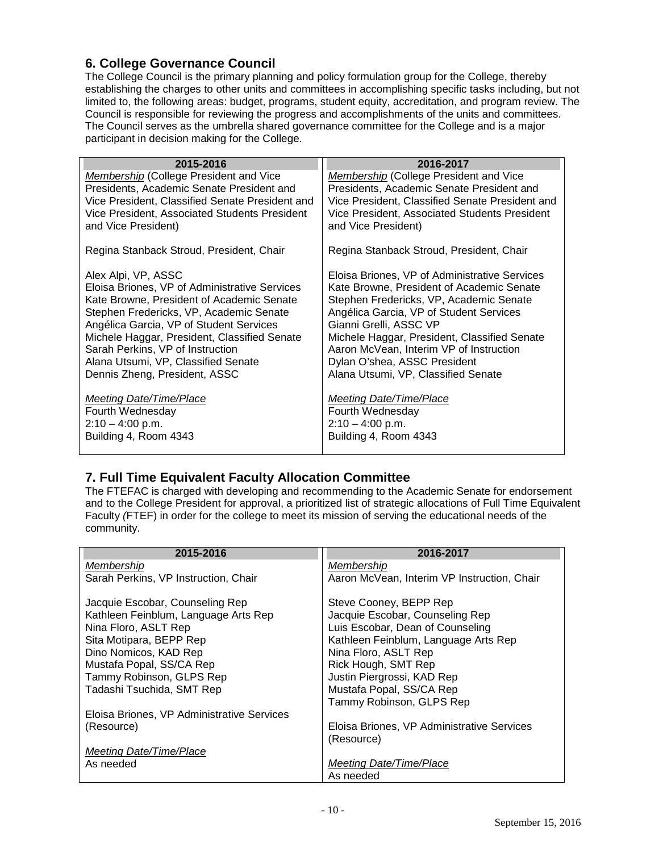## <span id="page-9-0"></span>**6. College Governance Council**

The College Council is the primary planning and policy formulation group for the College, thereby establishing the charges to other units and committees in accomplishing specific tasks including, but not limited to, the following areas: budget, programs, student equity, accreditation, and program review. The Council is responsible for reviewing the progress and accomplishments of the units and committees. The Council serves as the umbrella shared governance committee for the College and is a major participant in decision making for the College.

| 2015-2016                                       | 2016-2017                                       |
|-------------------------------------------------|-------------------------------------------------|
| Membership (College President and Vice          | Membership (College President and Vice          |
| Presidents, Academic Senate President and       | Presidents, Academic Senate President and       |
| Vice President, Classified Senate President and | Vice President, Classified Senate President and |
| Vice President, Associated Students President   | Vice President, Associated Students President   |
| and Vice President)                             | and Vice President)                             |
| Regina Stanback Stroud, President, Chair        | Regina Stanback Stroud, President, Chair        |
| Alex Alpi, VP, ASSC                             | Eloisa Briones, VP of Administrative Services   |
| Eloisa Briones, VP of Administrative Services   | Kate Browne, President of Academic Senate       |
| Kate Browne, President of Academic Senate       | Stephen Fredericks, VP, Academic Senate         |
| Stephen Fredericks, VP, Academic Senate         | Angélica Garcia, VP of Student Services         |
| Angélica Garcia, VP of Student Services         | Gianni Grelli, ASSC VP                          |
| Michele Haggar, President, Classified Senate    | Michele Haggar, President, Classified Senate    |
| Sarah Perkins, VP of Instruction                | Aaron McVean, Interim VP of Instruction         |
| Alana Utsumi, VP, Classified Senate             | Dylan O'shea, ASSC President                    |
| Dennis Zheng, President, ASSC                   | Alana Utsumi, VP, Classified Senate             |
| Meeting Date/Time/Place                         | Meeting Date/Time/Place                         |
| Fourth Wednesday                                | Fourth Wednesday                                |
| $2:10 - 4:00$ p.m.                              | $2:10 - 4:00$ p.m.                              |
| Building 4, Room 4343                           | Building 4, Room 4343                           |

## <span id="page-9-1"></span>**7. Full Time Equivalent Faculty Allocation Committee**

The FTEFAC is charged with developing and recommending to the Academic Senate for endorsement and to the College President for approval, a prioritized list of strategic allocations of Full Time Equivalent Faculty *(*FTEF) in order for the college to meet its mission of serving the educational needs of the community.

| 2015-2016                                  | 2016-2017                                   |
|--------------------------------------------|---------------------------------------------|
| <b>Membership</b>                          | Membership                                  |
| Sarah Perkins, VP Instruction, Chair       | Aaron McVean, Interim VP Instruction, Chair |
| Jacquie Escobar, Counseling Rep            | Steve Cooney, BEPP Rep                      |
| Kathleen Feinblum, Language Arts Rep       | Jacquie Escobar, Counseling Rep             |
| Nina Floro, ASLT Rep                       | Luis Escobar, Dean of Counseling            |
| Sita Motipara, BEPP Rep                    | Kathleen Feinblum, Language Arts Rep        |
| Dino Nomicos, KAD Rep                      | Nina Floro, ASLT Rep                        |
| Mustafa Popal, SS/CA Rep                   | Rick Hough, SMT Rep                         |
| Tammy Robinson, GLPS Rep                   | Justin Piergrossi, KAD Rep                  |
| Tadashi Tsuchida, SMT Rep                  | Mustafa Popal, SS/CA Rep                    |
|                                            | Tammy Robinson, GLPS Rep                    |
| Eloisa Briones, VP Administrative Services |                                             |
| (Resource)                                 | Eloisa Briones, VP Administrative Services  |
|                                            | (Resource)                                  |
| Meeting Date/Time/Place                    |                                             |
| As needed                                  | Meeting Date/Time/Place                     |
|                                            | As needed                                   |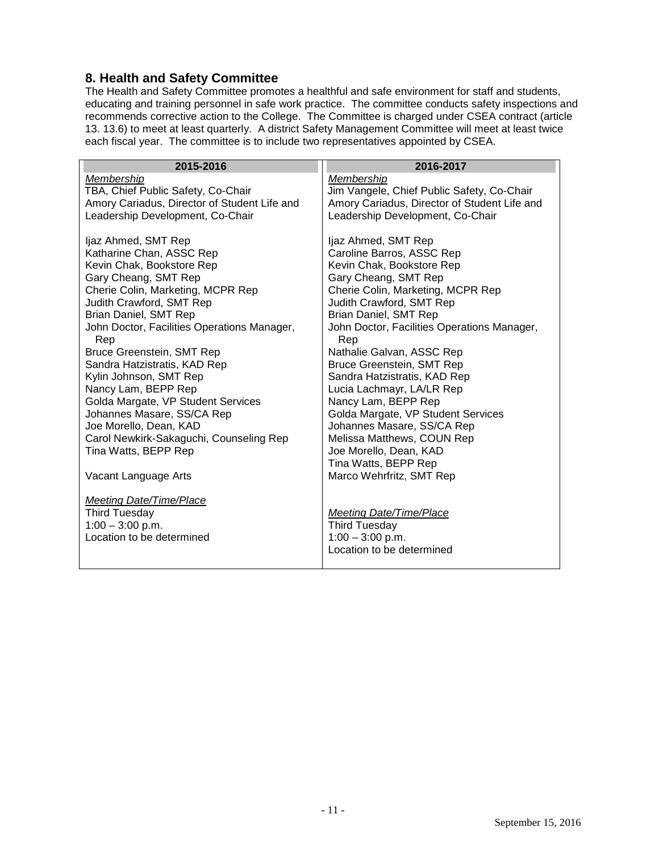#### <span id="page-10-0"></span>**8. Health and Safety Committee**

The Health and Safety Committee promotes a healthful and safe environment for staff and students, educating and training personnel in safe work practice. The committee conducts safety inspections and recommends corrective action to the College. The Committee is charged under CSEA contract (article 13. 13.6) to meet at least quarterly. A district Safety Management Committee will meet at least twice each fiscal year. The committee is to include two representatives appointed by CSEA.

| 2015-2016                                              | 2016-2017                                    |
|--------------------------------------------------------|----------------------------------------------|
| Membership                                             | Membership                                   |
| TBA, Chief Public Safety, Co-Chair                     | Jim Vangele, Chief Public Safety, Co-Chair   |
| Amory Cariadus, Director of Student Life and           | Amory Cariadus, Director of Student Life and |
| Leadership Development, Co-Chair                       | Leadership Development, Co-Chair             |
|                                                        |                                              |
| Ijaz Ahmed, SMT Rep                                    | Ijaz Ahmed, SMT Rep                          |
| Katharine Chan, ASSC Rep                               | Caroline Barros, ASSC Rep                    |
| Kevin Chak, Bookstore Rep                              | Kevin Chak, Bookstore Rep                    |
| Gary Cheang, SMT Rep                                   | Gary Cheang, SMT Rep                         |
| Cherie Colin, Marketing, MCPR Rep                      | Cherie Colin, Marketing, MCPR Rep            |
| Judith Crawford, SMT Rep                               | Judith Crawford, SMT Rep                     |
| <b>Brian Daniel, SMT Rep</b>                           | Brian Daniel, SMT Rep                        |
| John Doctor, Facilities Operations Manager,            | John Doctor, Facilities Operations Manager,  |
| Rep                                                    | Rep                                          |
| Bruce Greenstein, SMT Rep                              | Nathalie Galvan, ASSC Rep                    |
| Sandra Hatzistratis, KAD Rep                           | <b>Bruce Greenstein, SMT Rep</b>             |
| Kylin Johnson, SMT Rep                                 | Sandra Hatzistratis, KAD Rep                 |
| Nancy Lam, BEPP Rep                                    | Lucia Lachmayr, LA/LR Rep                    |
| Golda Margate, VP Student Services                     | Nancy Lam, BEPP Rep                          |
| Johannes Masare, SS/CA Rep                             | Golda Margate, VP Student Services           |
| Joe Morello, Dean, KAD                                 | Johannes Masare, SS/CA Rep                   |
| Carol Newkirk-Sakaguchi, Counseling Rep                | Melissa Matthews, COUN Rep                   |
| Tina Watts, BEPP Rep                                   | Joe Morello, Dean, KAD                       |
|                                                        | Tina Watts, BEPP Rep                         |
| Vacant Language Arts                                   | Marco Wehrfritz, SMT Rep                     |
|                                                        |                                              |
| <b>Meeting Date/Time/Place</b><br><b>Third Tuesday</b> | Meeting Date/Time/Place                      |
| $1:00 - 3:00$ p.m.                                     | <b>Third Tuesday</b>                         |
| Location to be determined                              | $1:00 - 3:00$ p.m.                           |
|                                                        | Location to be determined                    |
|                                                        |                                              |
|                                                        |                                              |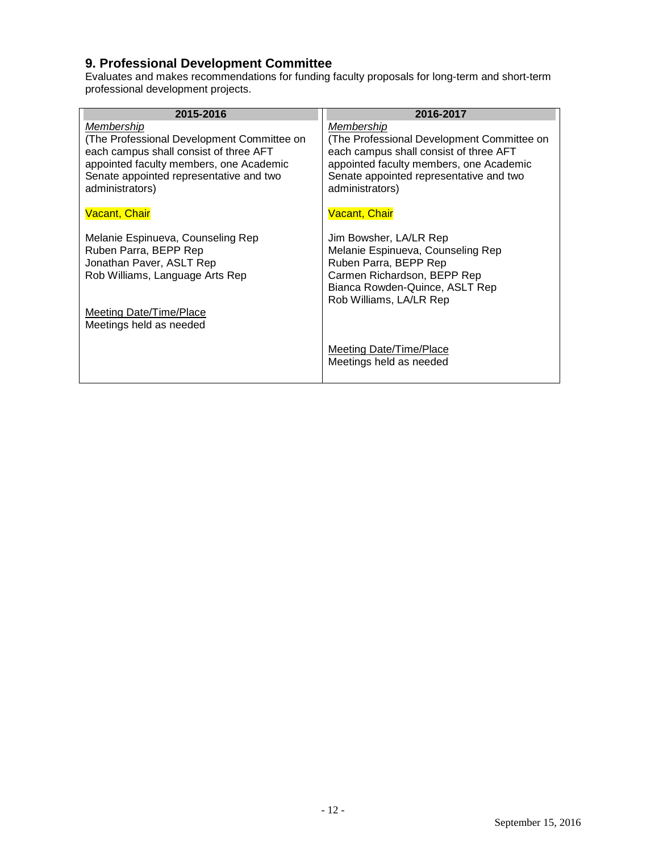## <span id="page-11-0"></span>**9. Professional Development Committee**

Evaluates and makes recommendations for funding faculty proposals for long-term and short-term professional development projects.

| 2015-2016                                                                                                                                                                                                   | 2016-2017                                                                                                                                                                                                   |
|-------------------------------------------------------------------------------------------------------------------------------------------------------------------------------------------------------------|-------------------------------------------------------------------------------------------------------------------------------------------------------------------------------------------------------------|
| Membership<br>(The Professional Development Committee on<br>each campus shall consist of three AFT<br>appointed faculty members, one Academic<br>Senate appointed representative and two<br>administrators) | Membership<br>(The Professional Development Committee on<br>each campus shall consist of three AFT<br>appointed faculty members, one Academic<br>Senate appointed representative and two<br>administrators) |
| <b>Vacant, Chair</b>                                                                                                                                                                                        | <b>Vacant, Chair</b>                                                                                                                                                                                        |
| Melanie Espinueva, Counseling Rep<br>Ruben Parra, BEPP Rep<br>Jonathan Paver, ASLT Rep<br>Rob Williams, Language Arts Rep<br>Meeting Date/Time/Place<br>Meetings held as needed                             | Jim Bowsher, LA/LR Rep<br>Melanie Espinueva, Counseling Rep<br>Ruben Parra, BEPP Rep<br>Carmen Richardson, BEPP Rep<br>Bianca Rowden-Quince, ASLT Rep<br>Rob Williams, LA/LR Rep                            |
|                                                                                                                                                                                                             | <b>Meeting Date/Time/Place</b><br>Meetings held as needed                                                                                                                                                   |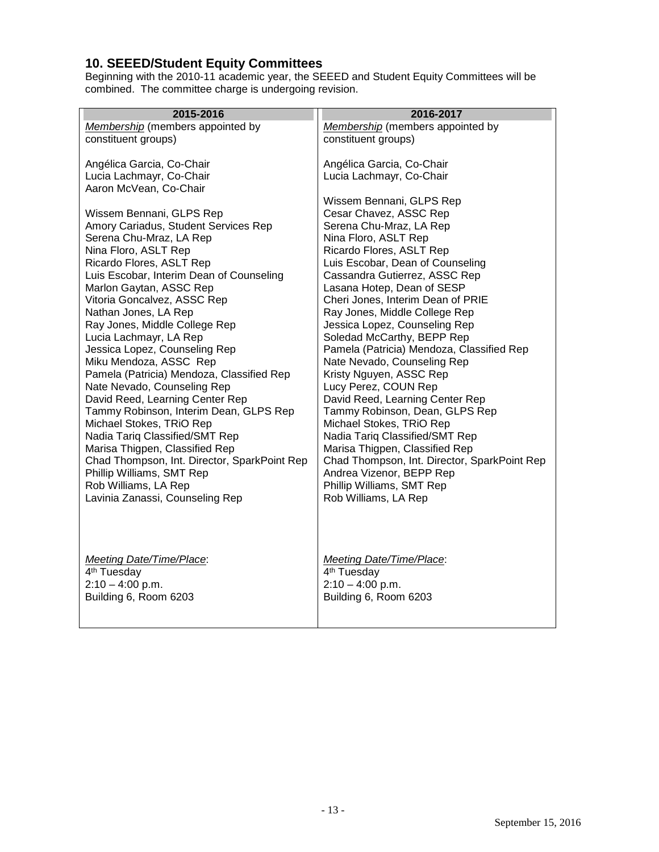### <span id="page-12-0"></span>**10. SEEED/Student Equity Committees**

Beginning with the 2010-11 academic year, the SEEED and Student Equity Committees will be combined. The committee charge is undergoing revision.

| 2015-2016                                                           | 2016-2017                                                   |
|---------------------------------------------------------------------|-------------------------------------------------------------|
| Membership (members appointed by                                    | Membership (members appointed by                            |
| constituent groups)                                                 | constituent groups)                                         |
|                                                                     |                                                             |
| Angélica Garcia, Co-Chair                                           | Angélica Garcia, Co-Chair                                   |
| Lucia Lachmayr, Co-Chair                                            | Lucia Lachmayr, Co-Chair                                    |
| Aaron McVean, Co-Chair                                              |                                                             |
|                                                                     | Wissem Bennani, GLPS Rep                                    |
| Wissem Bennani, GLPS Rep                                            | Cesar Chavez, ASSC Rep                                      |
| Amory Cariadus, Student Services Rep                                | Serena Chu-Mraz, LA Rep                                     |
| Serena Chu-Mraz, LA Rep                                             | Nina Floro, ASLT Rep                                        |
| Nina Floro, ASLT Rep                                                | Ricardo Flores, ASLT Rep                                    |
| Ricardo Flores, ASLT Rep                                            | Luis Escobar, Dean of Counseling                            |
| Luis Escobar, Interim Dean of Counseling<br>Marlon Gaytan, ASSC Rep | Cassandra Gutierrez, ASSC Rep<br>Lasana Hotep, Dean of SESP |
| Vitoria Goncalvez, ASSC Rep                                         | Cheri Jones, Interim Dean of PRIE                           |
| Nathan Jones, LA Rep                                                | Ray Jones, Middle College Rep                               |
| Ray Jones, Middle College Rep                                       | Jessica Lopez, Counseling Rep                               |
| Lucia Lachmayr, LA Rep                                              | Soledad McCarthy, BEPP Rep                                  |
| Jessica Lopez, Counseling Rep                                       | Pamela (Patricia) Mendoza, Classified Rep                   |
| Miku Mendoza, ASSC Rep                                              | Nate Nevado, Counseling Rep                                 |
| Pamela (Patricia) Mendoza, Classified Rep                           | Kristy Nguyen, ASSC Rep                                     |
| Nate Nevado, Counseling Rep                                         | Lucy Perez, COUN Rep                                        |
| David Reed, Learning Center Rep                                     | David Reed, Learning Center Rep                             |
| Tammy Robinson, Interim Dean, GLPS Rep                              | Tammy Robinson, Dean, GLPS Rep                              |
| Michael Stokes, TRiO Rep                                            | Michael Stokes, TRiO Rep                                    |
| Nadia Tariq Classified/SMT Rep                                      | Nadia Tariq Classified/SMT Rep                              |
| Marisa Thigpen, Classified Rep                                      | Marisa Thigpen, Classified Rep                              |
| Chad Thompson, Int. Director, SparkPoint Rep                        | Chad Thompson, Int. Director, SparkPoint Rep                |
| Phillip Williams, SMT Rep                                           | Andrea Vizenor, BEPP Rep                                    |
| Rob Williams, LA Rep                                                | Phillip Williams, SMT Rep                                   |
| Lavinia Zanassi, Counseling Rep                                     | Rob Williams, LA Rep                                        |
|                                                                     |                                                             |
|                                                                     |                                                             |
|                                                                     |                                                             |
| <b>Meeting Date/Time/Place:</b>                                     | <b>Meeting Date/Time/Place:</b>                             |
| 4 <sup>th</sup> Tuesday                                             | 4 <sup>th</sup> Tuesday                                     |
| $2:10 - 4:00$ p.m.                                                  | $2:10 - 4:00$ p.m.                                          |
| Building 6, Room 6203                                               | Building 6, Room 6203                                       |
|                                                                     |                                                             |
|                                                                     |                                                             |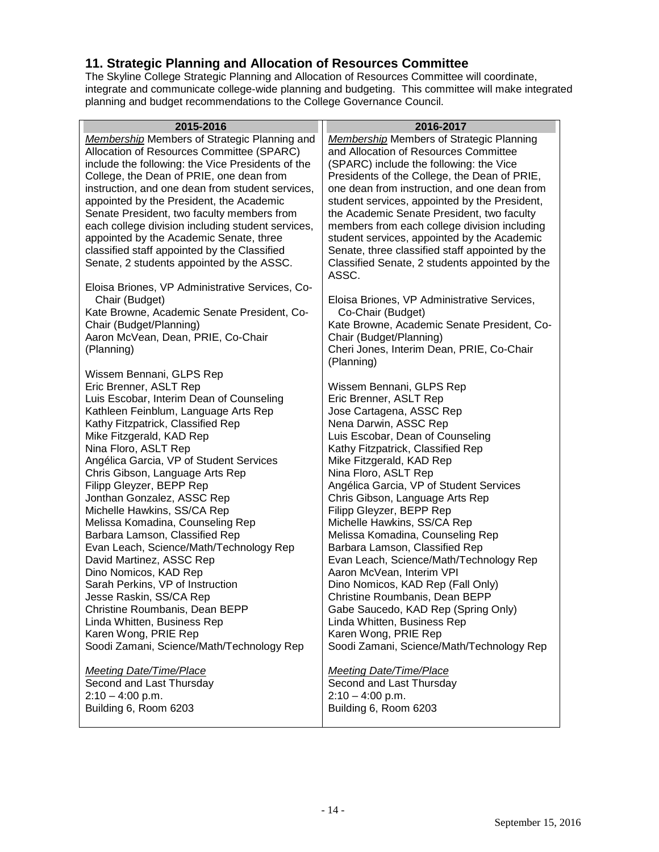#### <span id="page-13-0"></span>**11. Strategic Planning and Allocation of Resources Committee**

The Skyline College Strategic Planning and Allocation of Resources Committee will coordinate, integrate and communicate college-wide planning and budgeting. This committee will make integrated planning and budget recommendations to the College Governance Council.

<span id="page-13-1"></span>

| 2015-2016                                           | 2016-2017                                       |
|-----------------------------------------------------|-------------------------------------------------|
| <b>Membership Members of Strategic Planning and</b> | <b>Membership Members of Strategic Planning</b> |
| Allocation of Resources Committee (SPARC)           | and Allocation of Resources Committee           |
| include the following: the Vice Presidents of the   | (SPARC) include the following: the Vice         |
| College, the Dean of PRIE, one dean from            | Presidents of the College, the Dean of PRIE,    |
| instruction, and one dean from student services,    | one dean from instruction, and one dean from    |
| appointed by the President, the Academic            | student services, appointed by the President,   |
| Senate President, two faculty members from          | the Academic Senate President, two faculty      |
| each college division including student services,   | members from each college division including    |
| appointed by the Academic Senate, three             | student services, appointed by the Academic     |
| classified staff appointed by the Classified        | Senate, three classified staff appointed by the |
| Senate, 2 students appointed by the ASSC.           | Classified Senate, 2 students appointed by the  |
|                                                     | ASSC.                                           |
| Eloisa Briones, VP Administrative Services, Co-     |                                                 |
| Chair (Budget)                                      | Eloisa Briones, VP Administrative Services,     |
| Kate Browne, Academic Senate President, Co-         | Co-Chair (Budget)                               |
| Chair (Budget/Planning)                             | Kate Browne, Academic Senate President, Co-     |
| Aaron McVean, Dean, PRIE, Co-Chair                  | Chair (Budget/Planning)                         |
| (Planning)                                          | Cheri Jones, Interim Dean, PRIE, Co-Chair       |
|                                                     | (Planning)                                      |
| Wissem Bennani, GLPS Rep                            |                                                 |
| Eric Brenner, ASLT Rep                              | Wissem Bennani, GLPS Rep                        |
|                                                     |                                                 |
| Luis Escobar, Interim Dean of Counseling            | Eric Brenner, ASLT Rep                          |
| Kathleen Feinblum, Language Arts Rep                | Jose Cartagena, ASSC Rep                        |
| Kathy Fitzpatrick, Classified Rep                   | Nena Darwin, ASSC Rep                           |
| Mike Fitzgerald, KAD Rep                            | Luis Escobar, Dean of Counseling                |
| Nina Floro, ASLT Rep                                | Kathy Fitzpatrick, Classified Rep               |
| Angélica Garcia, VP of Student Services             | Mike Fitzgerald, KAD Rep                        |
| Chris Gibson, Language Arts Rep                     | Nina Floro, ASLT Rep                            |
| Filipp Gleyzer, BEPP Rep                            | Angélica Garcia, VP of Student Services         |
| Jonthan Gonzalez, ASSC Rep                          | Chris Gibson, Language Arts Rep                 |
| Michelle Hawkins, SS/CA Rep                         | Filipp Gleyzer, BEPP Rep                        |
| Melissa Komadina, Counseling Rep                    | Michelle Hawkins, SS/CA Rep                     |
| Barbara Lamson, Classified Rep                      | Melissa Komadina, Counseling Rep                |
| Evan Leach, Science/Math/Technology Rep             | Barbara Lamson, Classified Rep                  |
| David Martinez, ASSC Rep                            | Evan Leach, Science/Math/Technology Rep         |
| Dino Nomicos, KAD Rep                               | Aaron McVean, Interim VPI                       |
| Sarah Perkins, VP of Instruction                    | Dino Nomicos, KAD Rep (Fall Only)               |
| Jesse Raskin, SS/CA Rep                             | Christine Roumbanis, Dean BEPP                  |
| Christine Roumbanis, Dean BEPP                      | Gabe Saucedo, KAD Rep (Spring Only)             |
| Linda Whitten, Business Rep<br>Karen Wong, PRIE Rep | Linda Whitten, Business Rep                     |
|                                                     | Karen Wong, PRIE Rep                            |
| Soodi Zamani, Science/Math/Technology Rep           | Soodi Zamani, Science/Math/Technology Rep       |
| <b>Meeting Date/Time/Place</b>                      | <b>Meeting Date/Time/Place</b>                  |
| Second and Last Thursday                            | Second and Last Thursday                        |
| $2:10 - 4:00$ p.m.                                  | $2:10 - 4:00$ p.m.                              |
| Building 6, Room 6203                               | Building 6, Room 6203                           |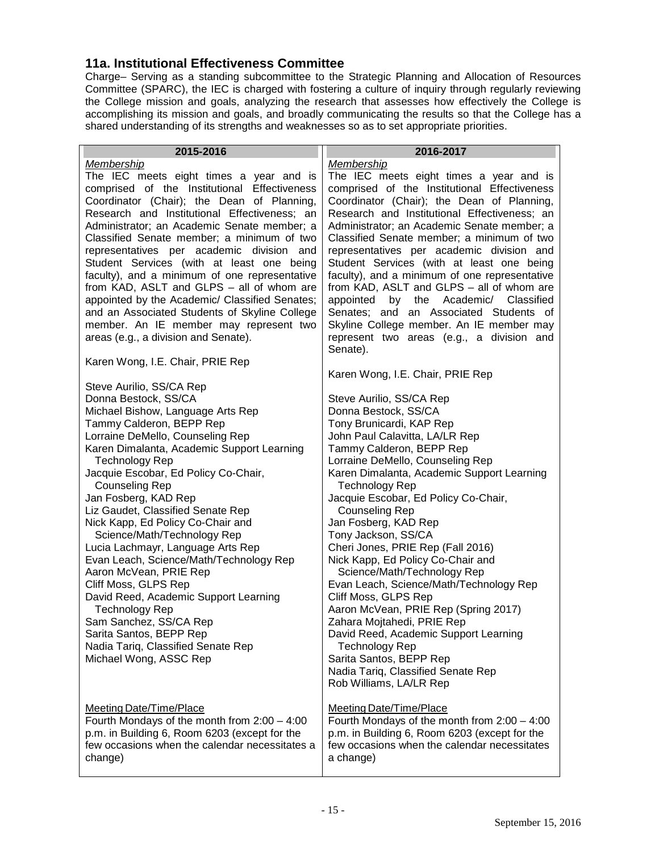#### **11a. Institutional Effectiveness Committee**

Charge– Serving as a standing subcommittee to the Strategic Planning and Allocation of Resources Committee (SPARC), the IEC is charged with fostering a culture of inquiry through regularly reviewing the College mission and goals, analyzing the research that assesses how effectively the College is accomplishing its mission and goals, and broadly communicating the results so that the College has a shared understanding of its strengths and weaknesses so as to set appropriate priorities.

| 2015-2016                                                                                                                                                                                                                                                                                                                                                                                                                                                                                                                                                                                                                                                                                                                                                                                                                                                                                                                                                                                                                                                                                                                                                                                                                                                                                                                                                                                                                                                                    | 2016-2017                                                                                                                                                                                                                                                                                                                                                                                                                                                                                                                                                                                                                                                                                                                                                                                                                                                                                                                                                                                                                                                                                                                                                                                                                                                                                                                                                                                                                                                                                                               |
|------------------------------------------------------------------------------------------------------------------------------------------------------------------------------------------------------------------------------------------------------------------------------------------------------------------------------------------------------------------------------------------------------------------------------------------------------------------------------------------------------------------------------------------------------------------------------------------------------------------------------------------------------------------------------------------------------------------------------------------------------------------------------------------------------------------------------------------------------------------------------------------------------------------------------------------------------------------------------------------------------------------------------------------------------------------------------------------------------------------------------------------------------------------------------------------------------------------------------------------------------------------------------------------------------------------------------------------------------------------------------------------------------------------------------------------------------------------------------|-------------------------------------------------------------------------------------------------------------------------------------------------------------------------------------------------------------------------------------------------------------------------------------------------------------------------------------------------------------------------------------------------------------------------------------------------------------------------------------------------------------------------------------------------------------------------------------------------------------------------------------------------------------------------------------------------------------------------------------------------------------------------------------------------------------------------------------------------------------------------------------------------------------------------------------------------------------------------------------------------------------------------------------------------------------------------------------------------------------------------------------------------------------------------------------------------------------------------------------------------------------------------------------------------------------------------------------------------------------------------------------------------------------------------------------------------------------------------------------------------------------------------|
| Membership<br>The IEC meets eight times a year and is<br>comprised of the Institutional Effectiveness<br>Coordinator (Chair); the Dean of Planning,<br>Research and Institutional Effectiveness; an<br>Administrator; an Academic Senate member; a<br>Classified Senate member; a minimum of two<br>representatives per academic division and<br>Student Services (with at least one being<br>faculty), and a minimum of one representative<br>from KAD, ASLT and GLPS - all of whom are<br>appointed by the Academic/ Classified Senates;<br>and an Associated Students of Skyline College<br>member. An IE member may represent two<br>areas (e.g., a division and Senate).<br>Karen Wong, I.E. Chair, PRIE Rep<br>Steve Aurilio, SS/CA Rep<br>Donna Bestock, SS/CA<br>Michael Bishow, Language Arts Rep<br>Tammy Calderon, BEPP Rep<br>Lorraine DeMello, Counseling Rep<br>Karen Dimalanta, Academic Support Learning<br><b>Technology Rep</b><br>Jacquie Escobar, Ed Policy Co-Chair,<br><b>Counseling Rep</b><br>Jan Fosberg, KAD Rep<br>Liz Gaudet, Classified Senate Rep<br>Nick Kapp, Ed Policy Co-Chair and<br>Science/Math/Technology Rep<br>Lucia Lachmayr, Language Arts Rep<br>Evan Leach, Science/Math/Technology Rep<br>Aaron McVean, PRIE Rep<br>Cliff Moss, GLPS Rep<br>David Reed, Academic Support Learning<br><b>Technology Rep</b><br>Sam Sanchez, SS/CA Rep<br>Sarita Santos, BEPP Rep<br>Nadia Tariq, Classified Senate Rep<br>Michael Wong, ASSC Rep | <b>Membership</b><br>The IEC meets eight times a year and is<br>comprised of the Institutional Effectiveness<br>Coordinator (Chair); the Dean of Planning,<br>Research and Institutional Effectiveness; an<br>Administrator; an Academic Senate member; a<br>Classified Senate member; a minimum of two<br>representatives per academic division and<br>Student Services (with at least one being<br>faculty), and a minimum of one representative<br>from KAD, ASLT and GLPS - all of whom are<br>appointed<br>by the Academic/ Classified<br>Senates; and an Associated Students of<br>Skyline College member. An IE member may<br>represent two areas (e.g., a division and<br>Senate).<br>Karen Wong, I.E. Chair, PRIE Rep<br>Steve Aurilio, SS/CA Rep<br>Donna Bestock, SS/CA<br>Tony Brunicardi, KAP Rep<br>John Paul Calavitta, LA/LR Rep<br>Tammy Calderon, BEPP Rep<br>Lorraine DeMello, Counseling Rep<br>Karen Dimalanta, Academic Support Learning<br><b>Technology Rep</b><br>Jacquie Escobar, Ed Policy Co-Chair,<br><b>Counseling Rep</b><br>Jan Fosberg, KAD Rep<br>Tony Jackson, SS/CA<br>Cheri Jones, PRIE Rep (Fall 2016)<br>Nick Kapp, Ed Policy Co-Chair and<br>Science/Math/Technology Rep<br>Evan Leach, Science/Math/Technology Rep<br>Cliff Moss, GLPS Rep<br>Aaron McVean, PRIE Rep (Spring 2017)<br>Zahara Mojtahedi, PRIE Rep<br>David Reed, Academic Support Learning<br><b>Technology Rep</b><br>Sarita Santos, BEPP Rep<br>Nadia Tariq, Classified Senate Rep<br>Rob Williams, LA/LR Rep |
| <b>Meeting Date/Time/Place</b><br>Fourth Mondays of the month from $2:00 - 4:00$<br>p.m. in Building 6, Room 6203 (except for the<br>few occasions when the calendar necessitates a<br>change)                                                                                                                                                                                                                                                                                                                                                                                                                                                                                                                                                                                                                                                                                                                                                                                                                                                                                                                                                                                                                                                                                                                                                                                                                                                                               | <b>Meeting Date/Time/Place</b><br>Fourth Mondays of the month from $2:00 - 4:00$<br>p.m. in Building 6, Room 6203 (except for the<br>few occasions when the calendar necessitates<br>a change)                                                                                                                                                                                                                                                                                                                                                                                                                                                                                                                                                                                                                                                                                                                                                                                                                                                                                                                                                                                                                                                                                                                                                                                                                                                                                                                          |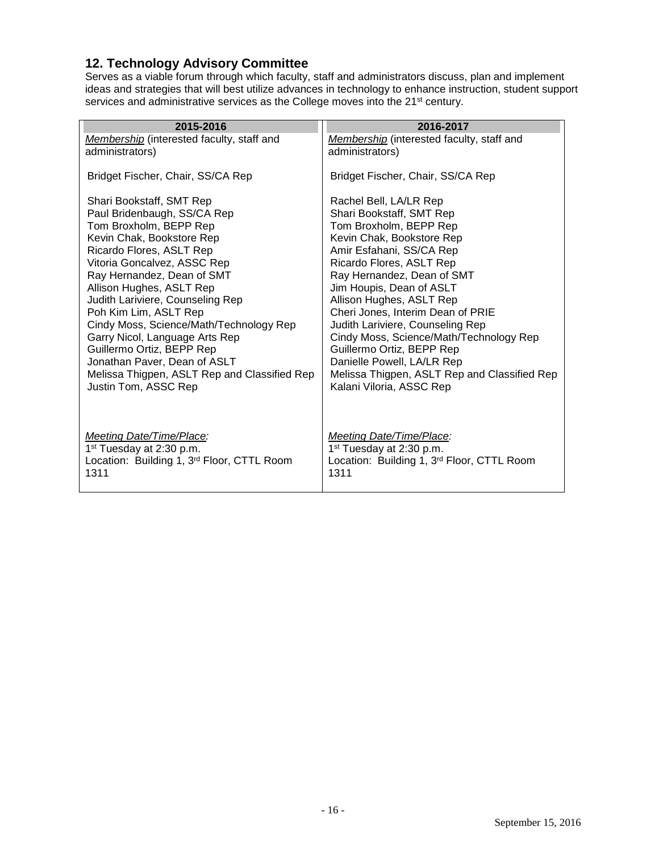#### <span id="page-15-0"></span>**12. Technology Advisory Committee**

Serves as a viable forum through which faculty, staff and administrators discuss, plan and implement ideas and strategies that will best utilize advances in technology to enhance instruction, student support services and administrative services as the College moves into the 21<sup>st</sup> century.

| 2015-2016                                    | 2016-2017                                    |
|----------------------------------------------|----------------------------------------------|
| Membership (interested faculty, staff and    | Membership (interested faculty, staff and    |
| administrators)                              | administrators)                              |
| Bridget Fischer, Chair, SS/CA Rep            | Bridget Fischer, Chair, SS/CA Rep            |
| Shari Bookstaff, SMT Rep                     | Rachel Bell, LA/LR Rep                       |
| Paul Bridenbaugh, SS/CA Rep                  | Shari Bookstaff, SMT Rep                     |
| Tom Broxholm, BEPP Rep                       | Tom Broxholm, BEPP Rep                       |
| Kevin Chak, Bookstore Rep                    | Kevin Chak, Bookstore Rep                    |
| Ricardo Flores, ASLT Rep                     | Amir Esfahani, SS/CA Rep                     |
| Vitoria Goncalvez, ASSC Rep                  | Ricardo Flores, ASLT Rep                     |
| Ray Hernandez, Dean of SMT                   | Ray Hernandez, Dean of SMT                   |
| Allison Hughes, ASLT Rep                     | Jim Houpis, Dean of ASLT                     |
| Judith Lariviere, Counseling Rep             | Allison Hughes, ASLT Rep                     |
| Poh Kim Lim, ASLT Rep                        | Cheri Jones, Interim Dean of PRIE            |
| Cindy Moss, Science/Math/Technology Rep      | Judith Lariviere, Counseling Rep             |
| Garry Nicol, Language Arts Rep               | Cindy Moss, Science/Math/Technology Rep      |
| Guillermo Ortiz, BEPP Rep                    | Guillermo Ortiz, BEPP Rep                    |
| Jonathan Paver, Dean of ASLT                 | Danielle Powell, LA/LR Rep                   |
| Melissa Thigpen, ASLT Rep and Classified Rep | Melissa Thigpen, ASLT Rep and Classified Rep |
| Justin Tom, ASSC Rep                         | Kalani Viloria, ASSC Rep                     |
| Meeting Date/Time/Place:                     | Meeting Date/Time/Place:                     |
| 1 <sup>st</sup> Tuesday at 2:30 p.m.         | 1 <sup>st</sup> Tuesday at 2:30 p.m.         |
| Location: Building 1, 3rd Floor, CTTL Room   | Location: Building 1, 3rd Floor, CTTL Room   |
| 1311                                         | 1311                                         |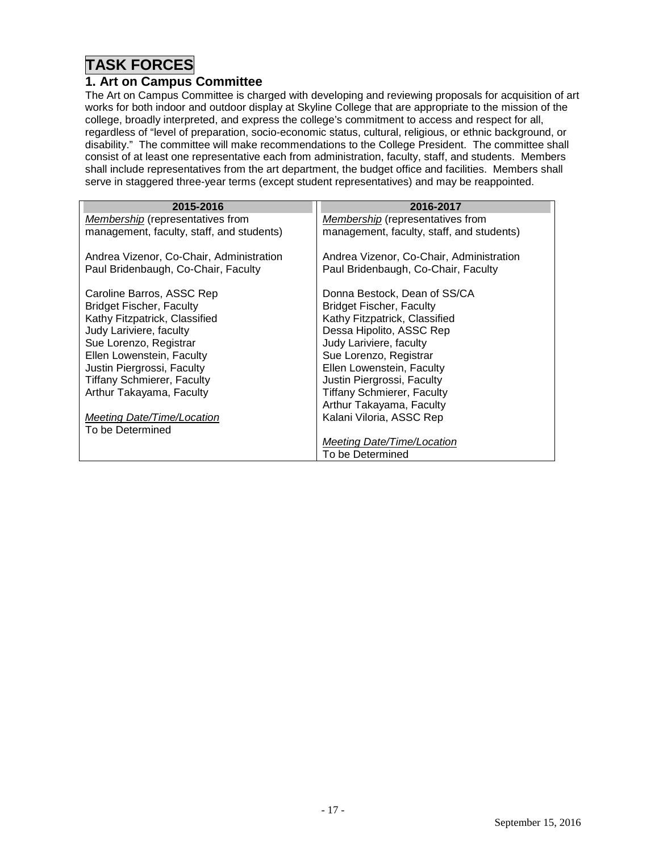# **TASK FORCES**

#### <span id="page-16-0"></span>**1. Art on Campus Committee**

The Art on Campus Committee is charged with developing and reviewing proposals for acquisition of art works for both indoor and outdoor display at Skyline College that are appropriate to the mission of the college, broadly interpreted, and express the college's commitment to access and respect for all, regardless of "level of preparation, socio-economic status, cultural, religious, or ethnic background, or disability." The committee will make recommendations to the College President. The committee shall consist of at least one representative each from administration, faculty, staff, and students. Members shall include representatives from the art department, the budget office and facilities. Members shall serve in staggered three-year terms (except student representatives) and may be reappointed.

| 2015-2016                                 | 2016-2017                                 |
|-------------------------------------------|-------------------------------------------|
| <b>Membership</b> (representatives from   | <b>Membership</b> (representatives from   |
| management, faculty, staff, and students) | management, faculty, staff, and students) |
| Andrea Vizenor, Co-Chair, Administration  | Andrea Vizenor, Co-Chair, Administration  |
| Paul Bridenbaugh, Co-Chair, Faculty       | Paul Bridenbaugh, Co-Chair, Faculty       |
| Caroline Barros, ASSC Rep                 | Donna Bestock, Dean of SS/CA              |
| <b>Bridget Fischer, Faculty</b>           | <b>Bridget Fischer, Faculty</b>           |
| Kathy Fitzpatrick, Classified             | Kathy Fitzpatrick, Classified             |
| Judy Lariviere, faculty                   | Dessa Hipolito, ASSC Rep                  |
| Sue Lorenzo, Registrar                    | Judy Lariviere, faculty                   |
| Ellen Lowenstein, Faculty                 | Sue Lorenzo, Registrar                    |
| Justin Piergrossi, Faculty                | Ellen Lowenstein, Faculty                 |
| <b>Tiffany Schmierer, Faculty</b>         | Justin Piergrossi, Faculty                |
| Arthur Takayama, Faculty                  | <b>Tiffany Schmierer, Faculty</b>         |
|                                           | Arthur Takayama, Faculty                  |
| Meeting Date/Time/Location                | Kalani Viloria, ASSC Rep                  |
| To be Determined                          |                                           |
|                                           | <b>Meeting Date/Time/Location</b>         |
|                                           | To be Determined                          |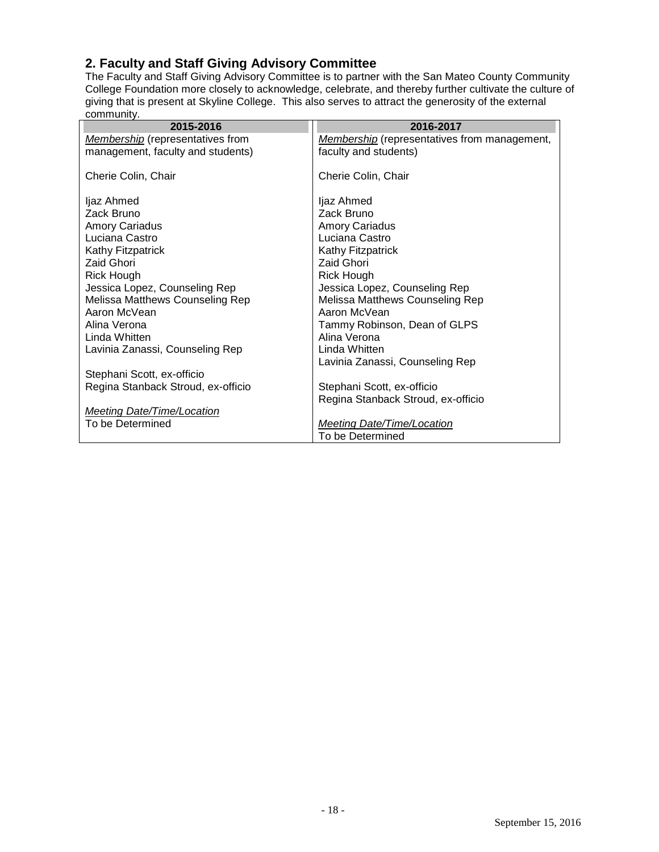#### <span id="page-17-0"></span>**2. Faculty and Staff Giving Advisory Committee**

The Faculty and Staff Giving Advisory Committee is to partner with the San Mateo County Community College Foundation more closely to acknowledge, celebrate, and thereby further cultivate the culture of giving that is present at Skyline College. This also serves to attract the generosity of the external community.

| 2015-2016                               | 2016-2017                                           |
|-----------------------------------------|-----------------------------------------------------|
| <b>Membership</b> (representatives from | <b>Membership</b> (representatives from management, |
| management, faculty and students)       | faculty and students)                               |
| Cherie Colin, Chair                     | Cherie Colin, Chair                                 |
| ljaz Ahmed                              | ljaz Ahmed                                          |
| Zack Bruno                              | Zack Bruno                                          |
| <b>Amory Cariadus</b>                   | Amory Cariadus                                      |
| Luciana Castro                          | Luciana Castro                                      |
| Kathy Fitzpatrick                       | Kathy Fitzpatrick                                   |
| Zaid Ghori                              | Zaid Ghori                                          |
| Rick Hough                              | <b>Rick Hough</b>                                   |
| Jessica Lopez, Counseling Rep           | Jessica Lopez, Counseling Rep                       |
| Melissa Matthews Counseling Rep         | Melissa Matthews Counseling Rep                     |
| Aaron McVean                            | Aaron McVean                                        |
| Alina Verona                            | Tammy Robinson, Dean of GLPS                        |
| Linda Whitten                           | Alina Verona                                        |
| Lavinia Zanassi, Counseling Rep         | Linda Whitten                                       |
|                                         | Lavinia Zanassi, Counseling Rep                     |
| Stephani Scott, ex-officio              |                                                     |
| Regina Stanback Stroud, ex-officio      | Stephani Scott, ex-officio                          |
|                                         | Regina Stanback Stroud, ex-officio                  |
| <b>Meeting Date/Time/Location</b>       |                                                     |
| To be Determined                        | <b>Meeting Date/Time/Location</b>                   |
|                                         | To be Determined                                    |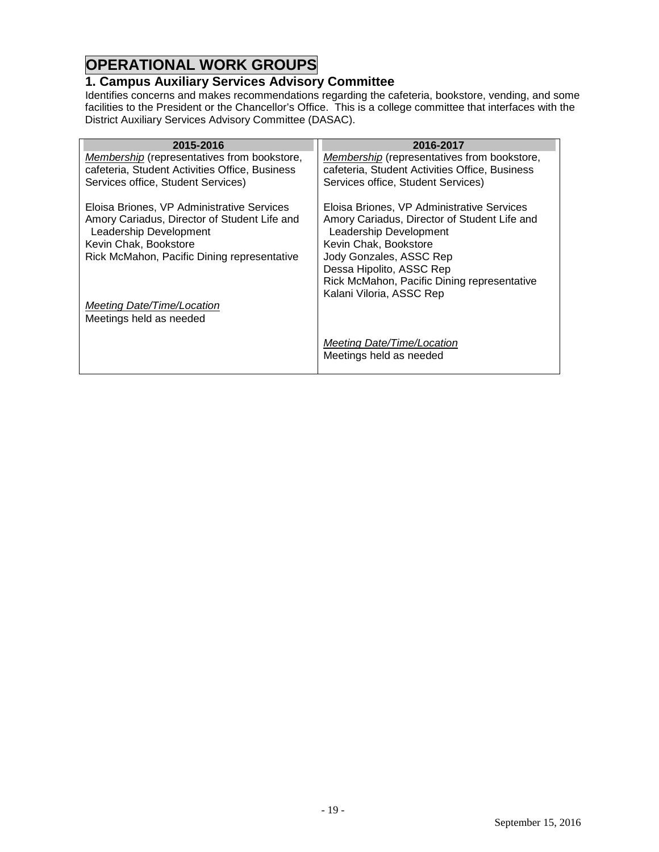# **OPERATIONAL WORK GROUPS**

## <span id="page-18-0"></span>**1. Campus Auxiliary Services Advisory Committee**

Identifies concerns and makes recommendations regarding the cafeteria, bookstore, vending, and some facilities to the President or the Chancellor's Office. This is a college committee that interfaces with the District Auxiliary Services Advisory Committee (DASAC).

| 2015-2016                                                              | 2016-2017                                                              |
|------------------------------------------------------------------------|------------------------------------------------------------------------|
| Membership (representatives from bookstore,                            | <b>Membership</b> (representatives from bookstore,                     |
| cafeteria, Student Activities Office, Business                         | cafeteria, Student Activities Office, Business                         |
| Services office, Student Services)                                     | Services office, Student Services)                                     |
| Eloisa Briones, VP Administrative Services                             | Eloisa Briones, VP Administrative Services                             |
| Amory Cariadus, Director of Student Life and<br>Leadership Development | Amory Cariadus, Director of Student Life and<br>Leadership Development |
| Kevin Chak, Bookstore                                                  | Kevin Chak, Bookstore                                                  |
| Rick McMahon, Pacific Dining representative                            | Jody Gonzales, ASSC Rep                                                |
|                                                                        | Dessa Hipolito, ASSC Rep                                               |
|                                                                        | Rick McMahon, Pacific Dining representative                            |
|                                                                        | Kalani Viloria, ASSC Rep                                               |
| Meeting Date/Time/Location<br>Meetings held as needed                  |                                                                        |
|                                                                        | Meeting Date/Time/Location<br>Meetings held as needed                  |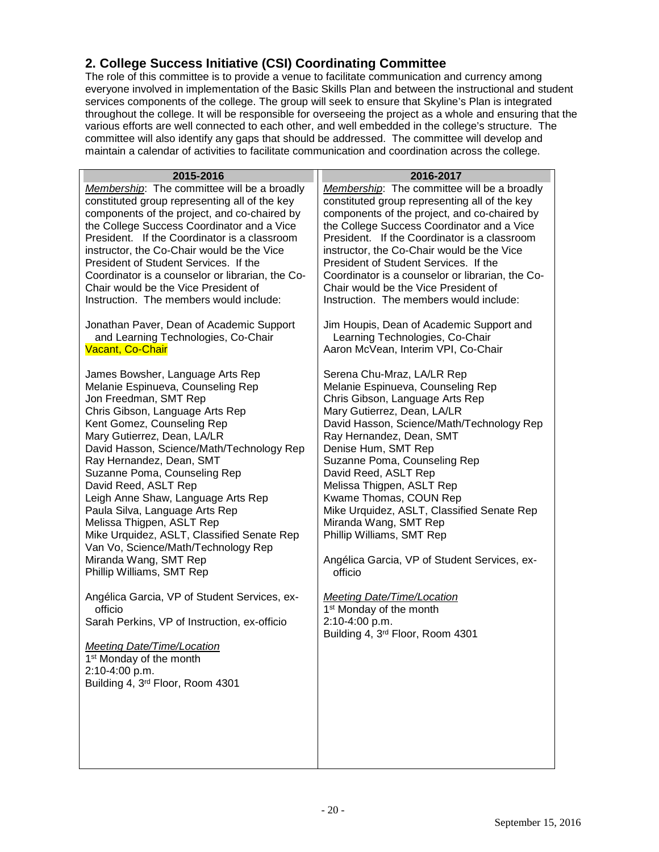## <span id="page-19-0"></span>**2. College Success Initiative (CSI) Coordinating Committee**

The role of this committee is to provide a venue to facilitate communication and currency among everyone involved in implementation of the Basic Skills Plan and between the instructional and student services components of the college. The group will seek to ensure that Skyline's Plan is integrated throughout the college. It will be responsible for overseeing the project as a whole and ensuring that the various efforts are well connected to each other, and well embedded in the college's structure. The committee will also identify any gaps that should be addressed. The committee will develop and maintain a calendar of activities to facilitate communication and coordination across the college.

| 2015-2016                                                                                                                                                                                                                                                                                                                                                                                                                                                                                                                                                                       | 2016-2017                                                                                                                                                                                                                                                                                                                                                                                                                                                                                                       |
|---------------------------------------------------------------------------------------------------------------------------------------------------------------------------------------------------------------------------------------------------------------------------------------------------------------------------------------------------------------------------------------------------------------------------------------------------------------------------------------------------------------------------------------------------------------------------------|-----------------------------------------------------------------------------------------------------------------------------------------------------------------------------------------------------------------------------------------------------------------------------------------------------------------------------------------------------------------------------------------------------------------------------------------------------------------------------------------------------------------|
| Membership: The committee will be a broadly<br>constituted group representing all of the key<br>components of the project, and co-chaired by<br>the College Success Coordinator and a Vice<br>President. If the Coordinator is a classroom<br>instructor, the Co-Chair would be the Vice<br>President of Student Services. If the<br>Coordinator is a counselor or librarian, the Co-<br>Chair would be the Vice President of<br>Instruction. The members would include:                                                                                                        | Membership: The committee will be a broadly<br>constituted group representing all of the key<br>components of the project, and co-chaired by<br>the College Success Coordinator and a Vice<br>President. If the Coordinator is a classroom<br>instructor, the Co-Chair would be the Vice<br>President of Student Services. If the<br>Coordinator is a counselor or librarian, the Co-<br>Chair would be the Vice President of<br>Instruction. The members would include:                                        |
| Jonathan Paver, Dean of Academic Support<br>and Learning Technologies, Co-Chair<br><b>Vacant, Co-Chair</b>                                                                                                                                                                                                                                                                                                                                                                                                                                                                      | Jim Houpis, Dean of Academic Support and<br>Learning Technologies, Co-Chair<br>Aaron McVean, Interim VPI, Co-Chair                                                                                                                                                                                                                                                                                                                                                                                              |
| James Bowsher, Language Arts Rep<br>Melanie Espinueva, Counseling Rep<br>Jon Freedman, SMT Rep<br>Chris Gibson, Language Arts Rep<br>Kent Gomez, Counseling Rep<br>Mary Gutierrez, Dean, LA/LR<br>David Hasson, Science/Math/Technology Rep<br>Ray Hernandez, Dean, SMT<br>Suzanne Poma, Counseling Rep<br>David Reed, ASLT Rep<br>Leigh Anne Shaw, Language Arts Rep<br>Paula Silva, Language Arts Rep<br>Melissa Thigpen, ASLT Rep<br>Mike Urquidez, ASLT, Classified Senate Rep<br>Van Vo, Science/Math/Technology Rep<br>Miranda Wang, SMT Rep<br>Phillip Williams, SMT Rep | Serena Chu-Mraz, LA/LR Rep<br>Melanie Espinueva, Counseling Rep<br>Chris Gibson, Language Arts Rep<br>Mary Gutierrez, Dean, LA/LR<br>David Hasson, Science/Math/Technology Rep<br>Ray Hernandez, Dean, SMT<br>Denise Hum, SMT Rep<br>Suzanne Poma, Counseling Rep<br>David Reed, ASLT Rep<br>Melissa Thigpen, ASLT Rep<br>Kwame Thomas, COUN Rep<br>Mike Urquidez, ASLT, Classified Senate Rep<br>Miranda Wang, SMT Rep<br>Phillip Williams, SMT Rep<br>Angélica Garcia, VP of Student Services, ex-<br>officio |
| Angélica Garcia, VP of Student Services, ex-<br>officio<br>Sarah Perkins, VP of Instruction, ex-officio<br>Meeting Date/Time/Location<br>1 <sup>st</sup> Monday of the month<br>2:10-4:00 p.m.<br>Building 4, 3rd Floor, Room 4301                                                                                                                                                                                                                                                                                                                                              | <b>Meeting Date/Time/Location</b><br>1 <sup>st</sup> Monday of the month<br>2:10-4:00 p.m.<br>Building 4, 3rd Floor, Room 4301                                                                                                                                                                                                                                                                                                                                                                                  |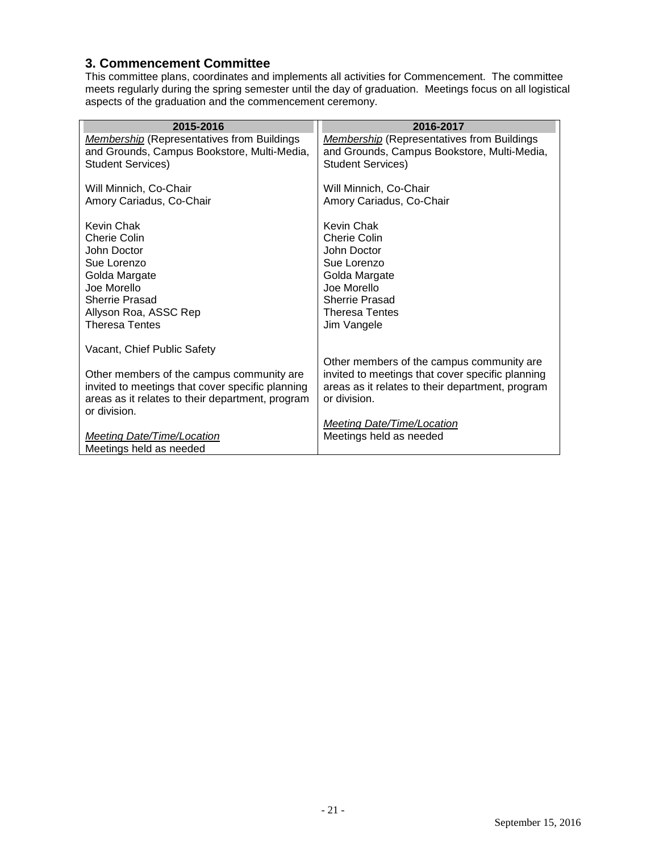#### <span id="page-20-0"></span>**3. Commencement Committee**

This committee plans, coordinates and implements all activities for Commencement. The committee meets regularly during the spring semester until the day of graduation. Meetings focus on all logistical aspects of the graduation and the commencement ceremony.

<span id="page-20-1"></span>

| 2015-2016                                                                                        | 2016-2017                                                                                            |
|--------------------------------------------------------------------------------------------------|------------------------------------------------------------------------------------------------------|
| <b>Membership</b> (Representatives from Buildings<br>and Grounds, Campus Bookstore, Multi-Media, | <b>Membership</b> (Representatives from Buildings<br>and Grounds, Campus Bookstore, Multi-Media,     |
| <b>Student Services)</b>                                                                         | <b>Student Services)</b>                                                                             |
| Will Minnich, Co-Chair                                                                           | Will Minnich, Co-Chair                                                                               |
| Amory Cariadus, Co-Chair                                                                         | Amory Cariadus, Co-Chair                                                                             |
| Kevin Chak                                                                                       | Kevin Chak                                                                                           |
| Cherie Colin                                                                                     | Cherie Colin                                                                                         |
| John Doctor<br>Sue Lorenzo                                                                       | John Doctor<br>Sue Lorenzo                                                                           |
| Golda Margate                                                                                    | Golda Margate                                                                                        |
| Joe Morello                                                                                      | Joe Morello                                                                                          |
| <b>Sherrie Prasad</b>                                                                            | <b>Sherrie Prasad</b>                                                                                |
| Allyson Roa, ASSC Rep<br><b>Theresa Tentes</b>                                                   | <b>Theresa Tentes</b>                                                                                |
|                                                                                                  | Jim Vangele                                                                                          |
| Vacant, Chief Public Safety                                                                      |                                                                                                      |
|                                                                                                  | Other members of the campus community are                                                            |
| Other members of the campus community are<br>invited to meetings that cover specific planning    | invited to meetings that cover specific planning<br>areas as it relates to their department, program |
| areas as it relates to their department, program                                                 | or division.                                                                                         |
| or division.                                                                                     |                                                                                                      |
|                                                                                                  | <b>Meeting Date/Time/Location</b>                                                                    |
| <b>Meeting Date/Time/Location</b><br>Meetings held as needed                                     | Meetings held as needed                                                                              |
|                                                                                                  |                                                                                                      |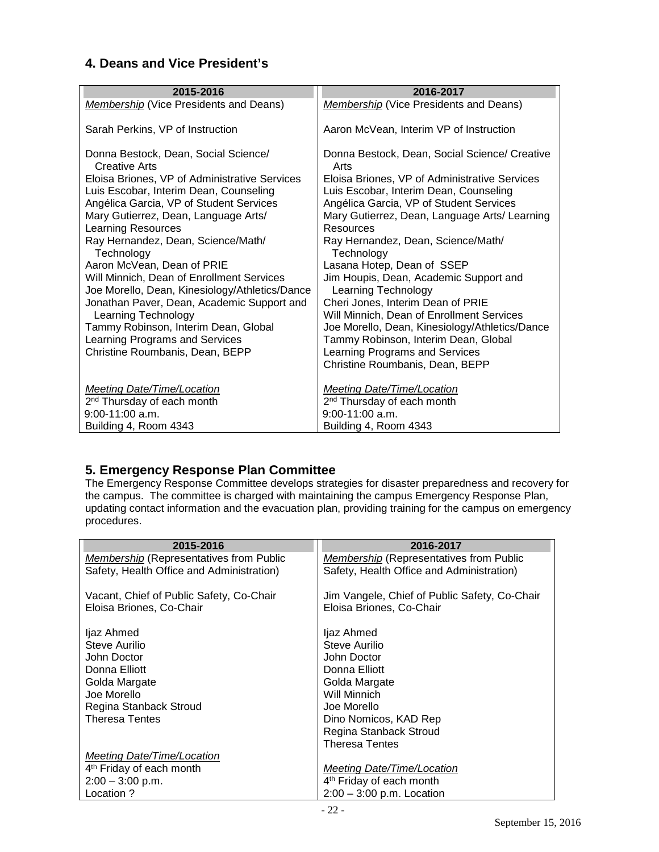## **4. Deans and Vice President's**

| 2015-2016                                             | 2016-2017                                             |
|-------------------------------------------------------|-------------------------------------------------------|
|                                                       |                                                       |
| <b>Membership</b> (Vice Presidents and Deans)         | <b>Membership</b> (Vice Presidents and Deans)         |
|                                                       |                                                       |
| Sarah Perkins, VP of Instruction                      | Aaron McVean, Interim VP of Instruction               |
|                                                       |                                                       |
| Donna Bestock, Dean, Social Science/<br>Creative Arts | Donna Bestock, Dean, Social Science/ Creative<br>Arts |
| Eloisa Briones, VP of Administrative Services         | Eloisa Briones, VP of Administrative Services         |
| Luis Escobar, Interim Dean, Counseling                | Luis Escobar, Interim Dean, Counseling                |
| Angélica Garcia, VP of Student Services               | Angélica Garcia, VP of Student Services               |
| Mary Gutierrez, Dean, Language Arts/                  | Mary Gutierrez, Dean, Language Arts/ Learning         |
| <b>Learning Resources</b>                             | Resources                                             |
|                                                       |                                                       |
| Ray Hernandez, Dean, Science/Math/                    | Ray Hernandez, Dean, Science/Math/                    |
| Technology                                            | Technology                                            |
| Aaron McVean, Dean of PRIE                            | Lasana Hotep, Dean of SSEP                            |
| Will Minnich, Dean of Enrollment Services             | Jim Houpis, Dean, Academic Support and                |
| Joe Morello, Dean, Kinesiology/Athletics/Dance        | Learning Technology                                   |
| Jonathan Paver, Dean, Academic Support and            | Cheri Jones, Interim Dean of PRIE                     |
| Learning Technology                                   | Will Minnich, Dean of Enrollment Services             |
| Tammy Robinson, Interim Dean, Global                  | Joe Morello, Dean, Kinesiology/Athletics/Dance        |
| Learning Programs and Services                        | Tammy Robinson, Interim Dean, Global                  |
| Christine Roumbanis, Dean, BEPP                       | Learning Programs and Services                        |
|                                                       | Christine Roumbanis, Dean, BEPP                       |
|                                                       |                                                       |
| <b>Meeting Date/Time/Location</b>                     | <b>Meeting Date/Time/Location</b>                     |
| 2 <sup>nd</sup> Thursday of each month                | 2 <sup>nd</sup> Thursday of each month                |
| $9:00-11:00$ a.m.                                     | $9:00-11:00$ a.m.                                     |
| Building 4, Room 4343                                 | Building 4, Room 4343                                 |

## <span id="page-21-0"></span>**5. Emergency Response Plan Committee**

The Emergency Response Committee develops strategies for disaster preparedness and recovery for the campus. The committee is charged with maintaining the campus Emergency Response Plan, updating contact information and the evacuation plan, providing training for the campus on emergency procedures.

| 2015-2016                                      | 2016-2017                                      |
|------------------------------------------------|------------------------------------------------|
| <b>Membership (Representatives from Public</b> | <b>Membership (Representatives from Public</b> |
| Safety, Health Office and Administration)      | Safety, Health Office and Administration)      |
|                                                |                                                |
| Vacant, Chief of Public Safety, Co-Chair       | Jim Vangele, Chief of Public Safety, Co-Chair  |
| Eloisa Briones, Co-Chair                       | Eloisa Briones, Co-Chair                       |
|                                                |                                                |
| ljaz Ahmed                                     | ljaz Ahmed                                     |
| Steve Aurilio                                  | Steve Aurilio                                  |
| John Doctor                                    | John Doctor                                    |
| Donna Elliott                                  | Donna Elliott                                  |
| Golda Margate                                  | Golda Margate                                  |
| Joe Morello                                    | Will Minnich                                   |
| Regina Stanback Stroud                         | Joe Morello                                    |
| <b>Theresa Tentes</b>                          | Dino Nomicos, KAD Rep                          |
|                                                | Regina Stanback Stroud                         |
|                                                | <b>Theresa Tentes</b>                          |
| <b>Meeting Date/Time/Location</b>              |                                                |
| 4 <sup>th</sup> Friday of each month           | Meeting Date/Time/Location                     |
| $2:00 - 3:00$ p.m.                             | 4 <sup>th</sup> Friday of each month           |
| Location ?                                     | $2:00 - 3:00$ p.m. Location                    |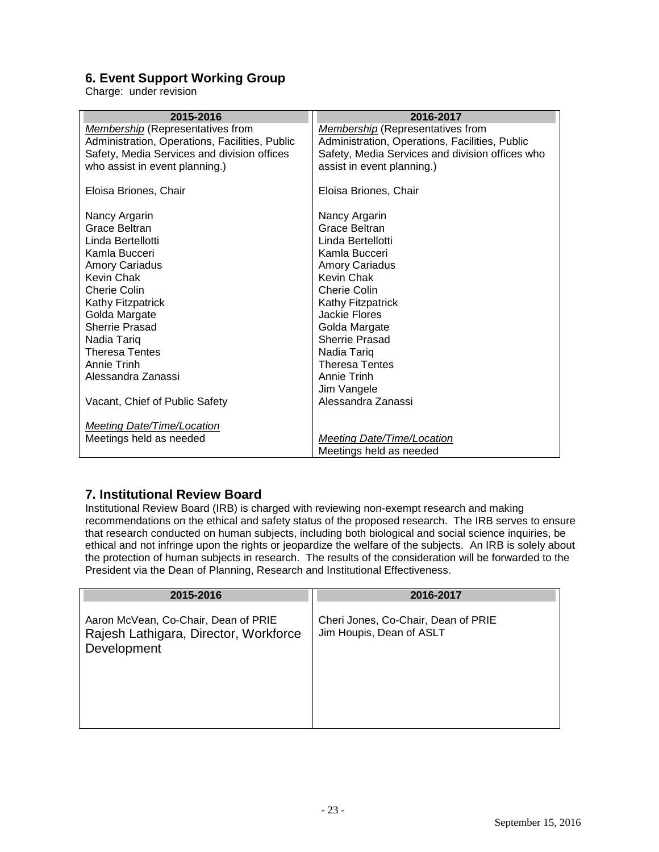## <span id="page-22-0"></span>**6. Event Support Working Group**

Charge: under revision

| 2016-2017                                       |
|-------------------------------------------------|
| <b>Membership</b> (Representatives from         |
| Administration, Operations, Facilities, Public  |
| Safety, Media Services and division offices who |
| assist in event planning.)                      |
| Eloisa Briones, Chair                           |
| Nancy Argarin                                   |
| <b>Grace Beltran</b>                            |
| Linda Bertellotti                               |
| Kamla Bucceri                                   |
| <b>Amory Cariadus</b>                           |
|                                                 |
|                                                 |
| Kathy Fitzpatrick                               |
|                                                 |
| Golda Margate                                   |
| <b>Sherrie Prasad</b>                           |
|                                                 |
| <b>Theresa Tentes</b>                           |
|                                                 |
|                                                 |
| Alessandra Zanassi                              |
|                                                 |
| Meeting Date/Time/Location                      |
| Meetings held as needed                         |
|                                                 |

#### <span id="page-22-1"></span>**7. Institutional Review Board**

Institutional Review Board (IRB) is charged with reviewing non-exempt research and making recommendations on the ethical and safety status of the proposed research. The IRB serves to ensure that research conducted on human subjects, including both biological and social science inquiries, be ethical and not infringe upon the rights or jeopardize the welfare of the subjects. An IRB is solely about the protection of human subjects in research. The results of the consideration will be forwarded to the President via the Dean of Planning, Research and Institutional Effectiveness.

| 2015-2016                                                                                    | 2016-2017                                                       |
|----------------------------------------------------------------------------------------------|-----------------------------------------------------------------|
| Aaron McVean, Co-Chair, Dean of PRIE<br>Rajesh Lathigara, Director, Workforce<br>Development | Cheri Jones, Co-Chair, Dean of PRIE<br>Jim Houpis, Dean of ASLT |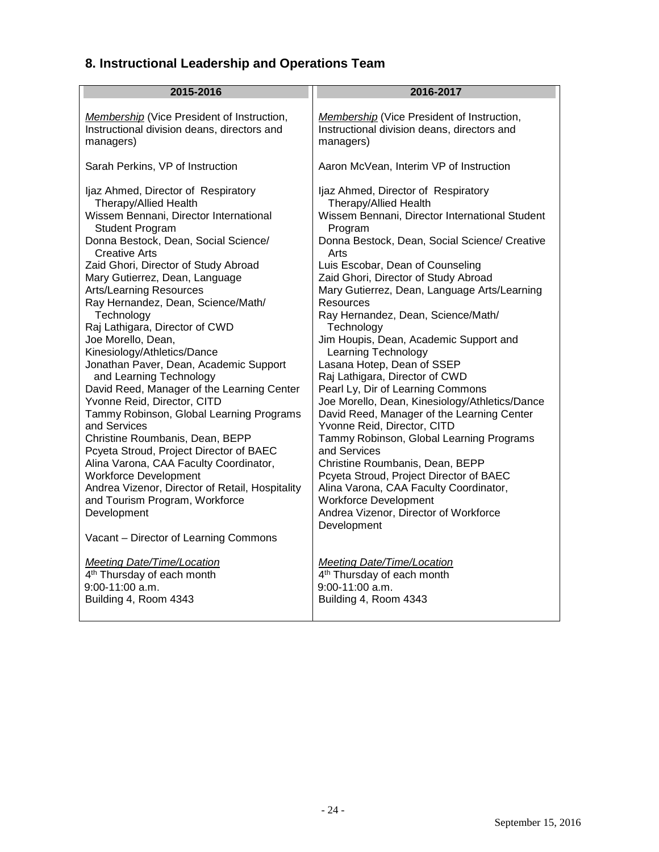# <span id="page-23-0"></span>**8. Instructional Leadership and Operations Team**

<span id="page-23-1"></span>

| 2015-2016                                       | 2016-2017                                         |
|-------------------------------------------------|---------------------------------------------------|
| Membership (Vice President of Instruction,      | <b>Membership</b> (Vice President of Instruction, |
| Instructional division deans, directors and     | Instructional division deans, directors and       |
| managers)                                       | managers)                                         |
| Sarah Perkins, VP of Instruction                | Aaron McVean, Interim VP of Instruction           |
| Ijaz Ahmed, Director of Respiratory             | Ijaz Ahmed, Director of Respiratory               |
| Therapy/Allied Health                           | Therapy/Allied Health                             |
| Wissem Bennani, Director International          | Wissem Bennani, Director International Student    |
| <b>Student Program</b>                          | Program                                           |
| Donna Bestock, Dean, Social Science/            | Donna Bestock, Dean, Social Science/ Creative     |
| <b>Creative Arts</b>                            | Arts                                              |
| Zaid Ghori, Director of Study Abroad            | Luis Escobar, Dean of Counseling                  |
| Mary Gutierrez, Dean, Language                  | Zaid Ghori, Director of Study Abroad              |
| <b>Arts/Learning Resources</b>                  | Mary Gutierrez, Dean, Language Arts/Learning      |
| Ray Hernandez, Dean, Science/Math/              | Resources                                         |
| Technology                                      | Ray Hernandez, Dean, Science/Math/                |
| Raj Lathigara, Director of CWD                  | Technology                                        |
| Joe Morello, Dean,                              | Jim Houpis, Dean, Academic Support and            |
| Kinesiology/Athletics/Dance                     | Learning Technology                               |
| Jonathan Paver, Dean, Academic Support          | Lasana Hotep, Dean of SSEP                        |
| and Learning Technology                         | Raj Lathigara, Director of CWD                    |
| David Reed, Manager of the Learning Center      | Pearl Ly, Dir of Learning Commons                 |
| Yvonne Reid, Director, CITD                     | Joe Morello, Dean, Kinesiology/Athletics/Dance    |
| Tammy Robinson, Global Learning Programs        | David Reed, Manager of the Learning Center        |
| and Services                                    | Yvonne Reid, Director, CITD                       |
| Christine Roumbanis, Dean, BEPP                 | Tammy Robinson, Global Learning Programs          |
| Pcyeta Stroud, Project Director of BAEC         | and Services                                      |
| Alina Varona, CAA Faculty Coordinator,          | Christine Roumbanis, Dean, BEPP                   |
| <b>Workforce Development</b>                    | Pcyeta Stroud, Project Director of BAEC           |
| Andrea Vizenor, Director of Retail, Hospitality | Alina Varona, CAA Faculty Coordinator,            |
| and Tourism Program, Workforce                  | <b>Workforce Development</b>                      |
| Development                                     | Andrea Vizenor, Director of Workforce             |
| Vacant - Director of Learning Commons           | Development                                       |
| <b>Meeting Date/Time/Location</b>               | <b>Meeting Date/Time/Location</b>                 |
| 4 <sup>th</sup> Thursday of each month          | 4 <sup>th</sup> Thursday of each month            |
| 9:00-11:00 a.m.                                 | 9:00-11:00 a.m.                                   |
| Building 4, Room 4343                           | Building 4, Room 4343                             |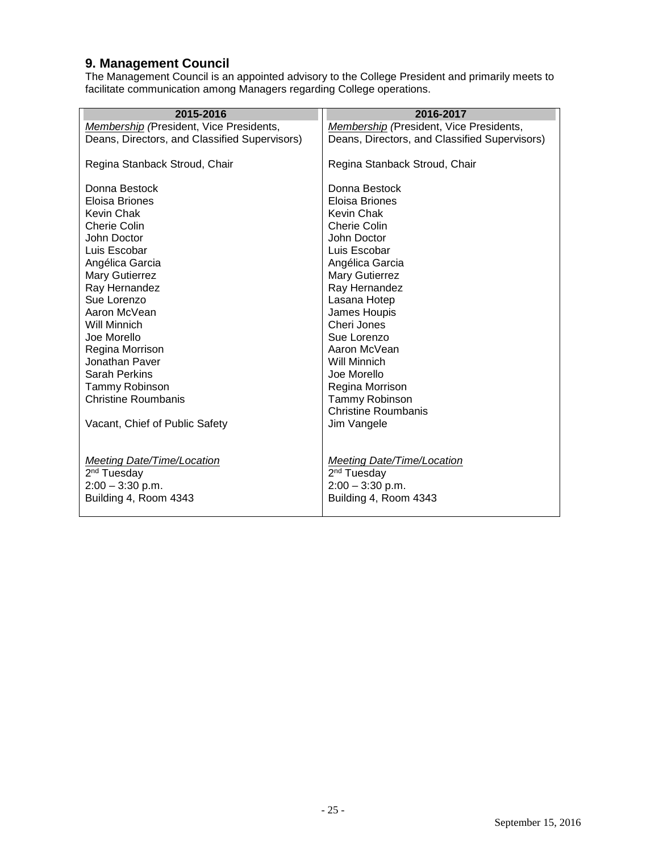#### **9. Management Council**

The Management Council is an appointed advisory to the College President and primarily meets to facilitate communication among Managers regarding College operations.

| 2015-2016                                     | 2016-2017                                     |
|-----------------------------------------------|-----------------------------------------------|
| Membership (President, Vice Presidents,       | Membership (President, Vice Presidents,       |
| Deans, Directors, and Classified Supervisors) | Deans, Directors, and Classified Supervisors) |
|                                               |                                               |
| Regina Stanback Stroud, Chair                 | Regina Stanback Stroud, Chair                 |
|                                               |                                               |
| Donna Bestock                                 | Donna Bestock                                 |
| Eloisa Briones                                | Eloisa Briones                                |
| Kevin Chak                                    | <b>Kevin Chak</b>                             |
| Cherie Colin                                  | Cherie Colin                                  |
| John Doctor                                   | John Doctor                                   |
| Luis Escobar                                  | Luis Escobar                                  |
| Angélica Garcia                               | Angélica Garcia                               |
| Mary Gutierrez                                | Mary Gutierrez                                |
| Ray Hernandez                                 | Ray Hernandez                                 |
| Sue Lorenzo                                   | Lasana Hotep                                  |
| Aaron McVean                                  | James Houpis                                  |
| Will Minnich                                  | Cheri Jones                                   |
| Joe Morello                                   | Sue Lorenzo                                   |
| Regina Morrison                               | Aaron McVean                                  |
| Jonathan Paver                                | Will Minnich                                  |
| <b>Sarah Perkins</b>                          | Joe Morello                                   |
| Tammy Robinson                                | Regina Morrison                               |
| Christine Roumbanis                           | Tammy Robinson                                |
|                                               | <b>Christine Roumbanis</b>                    |
| Vacant, Chief of Public Safety                | Jim Vangele                                   |
|                                               |                                               |
|                                               |                                               |
| Meeting Date/Time/Location                    | Meeting Date/Time/Location                    |
| 2 <sup>nd</sup> Tuesday                       | 2 <sup>nd</sup> Tuesday                       |
| $2:00 - 3:30$ p.m.                            | $2:00 - 3:30$ p.m.                            |
| Building 4, Room 4343                         | Building 4, Room 4343                         |
|                                               |                                               |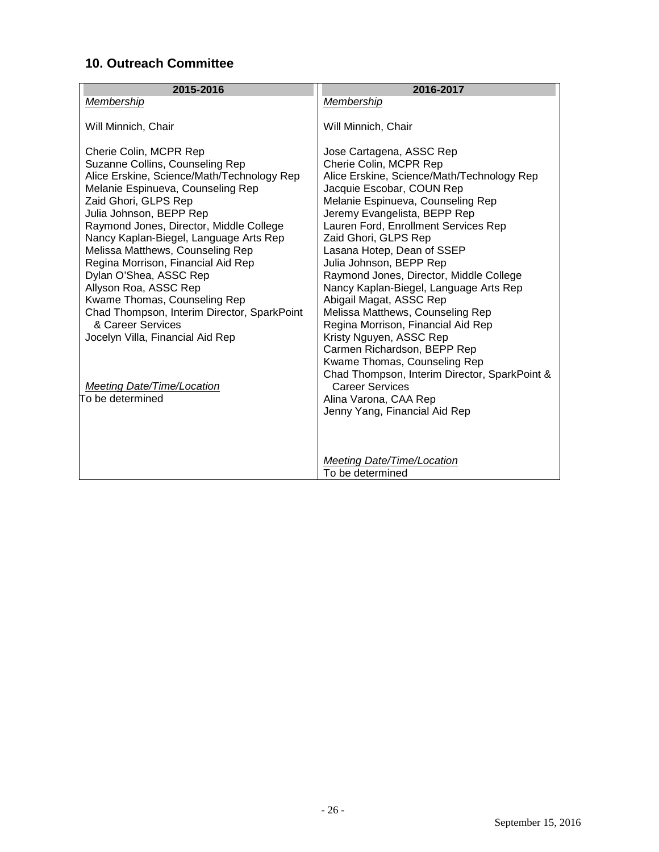## <span id="page-25-0"></span>**10. Outreach Committee**

| 2015-2016                                                                                                                                                                                                                                                                                                                                                                                                                                                                                                                                                                                                          | 2016-2017                                                                                                                                                                                                                                                                                                                                                                                                                                                                                                                                                                                                                                                                                                                                            |
|--------------------------------------------------------------------------------------------------------------------------------------------------------------------------------------------------------------------------------------------------------------------------------------------------------------------------------------------------------------------------------------------------------------------------------------------------------------------------------------------------------------------------------------------------------------------------------------------------------------------|------------------------------------------------------------------------------------------------------------------------------------------------------------------------------------------------------------------------------------------------------------------------------------------------------------------------------------------------------------------------------------------------------------------------------------------------------------------------------------------------------------------------------------------------------------------------------------------------------------------------------------------------------------------------------------------------------------------------------------------------------|
| Membership                                                                                                                                                                                                                                                                                                                                                                                                                                                                                                                                                                                                         | Membership                                                                                                                                                                                                                                                                                                                                                                                                                                                                                                                                                                                                                                                                                                                                           |
| Will Minnich, Chair                                                                                                                                                                                                                                                                                                                                                                                                                                                                                                                                                                                                | Will Minnich, Chair                                                                                                                                                                                                                                                                                                                                                                                                                                                                                                                                                                                                                                                                                                                                  |
| Cherie Colin, MCPR Rep<br>Suzanne Collins, Counseling Rep<br>Alice Erskine, Science/Math/Technology Rep<br>Melanie Espinueva, Counseling Rep<br>Zaid Ghori, GLPS Rep<br>Julia Johnson, BEPP Rep<br>Raymond Jones, Director, Middle College<br>Nancy Kaplan-Biegel, Language Arts Rep<br>Melissa Matthews, Counseling Rep<br>Regina Morrison, Financial Aid Rep<br>Dylan O'Shea, ASSC Rep<br>Allyson Roa, ASSC Rep<br>Kwame Thomas, Counseling Rep<br>Chad Thompson, Interim Director, SparkPoint<br>& Career Services<br>Jocelyn Villa, Financial Aid Rep<br><b>Meeting Date/Time/Location</b><br>To be determined | Jose Cartagena, ASSC Rep<br>Cherie Colin, MCPR Rep<br>Alice Erskine, Science/Math/Technology Rep<br>Jacquie Escobar, COUN Rep<br>Melanie Espinueva, Counseling Rep<br>Jeremy Evangelista, BEPP Rep<br>Lauren Ford, Enrollment Services Rep<br>Zaid Ghori, GLPS Rep<br>Lasana Hotep, Dean of SSEP<br>Julia Johnson, BEPP Rep<br>Raymond Jones, Director, Middle College<br>Nancy Kaplan-Biegel, Language Arts Rep<br>Abigail Magat, ASSC Rep<br>Melissa Matthews, Counseling Rep<br>Regina Morrison, Financial Aid Rep<br>Kristy Nguyen, ASSC Rep<br>Carmen Richardson, BEPP Rep<br>Kwame Thomas, Counseling Rep<br>Chad Thompson, Interim Director, SparkPoint &<br><b>Career Services</b><br>Alina Varona, CAA Rep<br>Jenny Yang, Financial Aid Rep |
|                                                                                                                                                                                                                                                                                                                                                                                                                                                                                                                                                                                                                    | Meeting Date/Time/Location<br>To be determined                                                                                                                                                                                                                                                                                                                                                                                                                                                                                                                                                                                                                                                                                                       |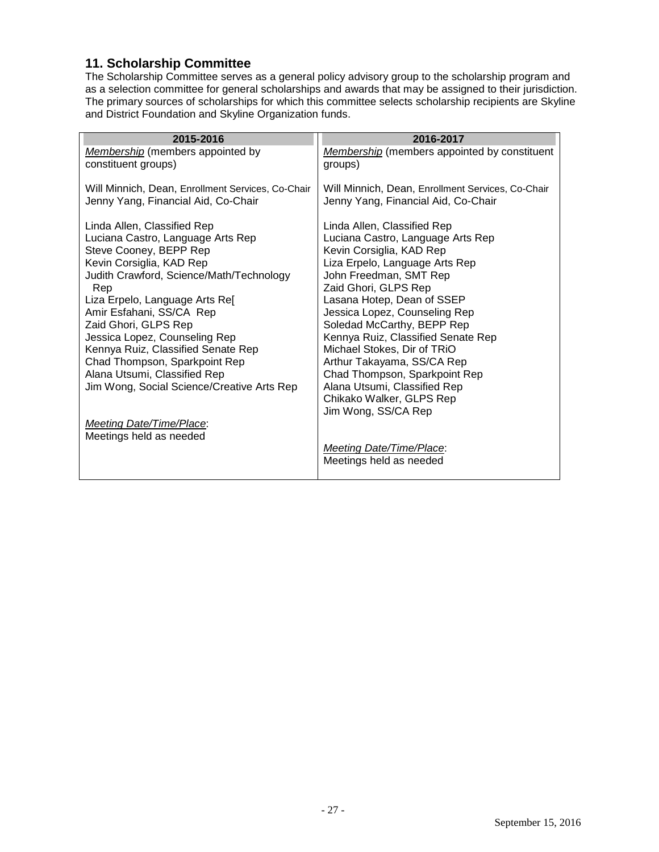#### <span id="page-26-0"></span>**11. Scholarship Committee**

The Scholarship Committee serves as a general policy advisory group to the scholarship program and as a selection committee for general scholarships and awards that may be assigned to their jurisdiction. The primary sources of scholarships for which this committee selects scholarship recipients are Skyline and District Foundation and Skyline Organization funds.

| 2015-2016                                                                                                                                                                                                                                                                                                                                                                                                                                             | 2016-2017                                                                                                                                                                                                                                                                                                                                                                                                                                                                                            |
|-------------------------------------------------------------------------------------------------------------------------------------------------------------------------------------------------------------------------------------------------------------------------------------------------------------------------------------------------------------------------------------------------------------------------------------------------------|------------------------------------------------------------------------------------------------------------------------------------------------------------------------------------------------------------------------------------------------------------------------------------------------------------------------------------------------------------------------------------------------------------------------------------------------------------------------------------------------------|
| Membership (members appointed by<br>constituent groups)                                                                                                                                                                                                                                                                                                                                                                                               | <b>Membership</b> (members appointed by constituent<br>groups)                                                                                                                                                                                                                                                                                                                                                                                                                                       |
| Will Minnich, Dean, Enrollment Services, Co-Chair<br>Jenny Yang, Financial Aid, Co-Chair                                                                                                                                                                                                                                                                                                                                                              | Will Minnich, Dean, Enrollment Services, Co-Chair<br>Jenny Yang, Financial Aid, Co-Chair                                                                                                                                                                                                                                                                                                                                                                                                             |
| Linda Allen, Classified Rep<br>Luciana Castro, Language Arts Rep<br>Steve Cooney, BEPP Rep<br>Kevin Corsiglia, KAD Rep<br>Judith Crawford, Science/Math/Technology<br>Rep<br>Liza Erpelo, Language Arts Re[<br>Amir Esfahani, SS/CA Rep<br>Zaid Ghori, GLPS Rep<br>Jessica Lopez, Counseling Rep<br>Kennya Ruiz, Classified Senate Rep<br>Chad Thompson, Sparkpoint Rep<br>Alana Utsumi, Classified Rep<br>Jim Wong, Social Science/Creative Arts Rep | Linda Allen, Classified Rep<br>Luciana Castro, Language Arts Rep<br>Kevin Corsiglia, KAD Rep<br>Liza Erpelo, Language Arts Rep<br>John Freedman, SMT Rep<br>Zaid Ghori, GLPS Rep<br>Lasana Hotep, Dean of SSEP<br>Jessica Lopez, Counseling Rep<br>Soledad McCarthy, BEPP Rep<br>Kennya Ruiz, Classified Senate Rep<br>Michael Stokes, Dir of TRiO<br>Arthur Takayama, SS/CA Rep<br>Chad Thompson, Sparkpoint Rep<br>Alana Utsumi, Classified Rep<br>Chikako Walker, GLPS Rep<br>Jim Wong, SS/CA Rep |
| <b>Meeting Date/Time/Place:</b>                                                                                                                                                                                                                                                                                                                                                                                                                       |                                                                                                                                                                                                                                                                                                                                                                                                                                                                                                      |
| Meetings held as needed                                                                                                                                                                                                                                                                                                                                                                                                                               |                                                                                                                                                                                                                                                                                                                                                                                                                                                                                                      |
|                                                                                                                                                                                                                                                                                                                                                                                                                                                       | <b>Meeting Date/Time/Place:</b>                                                                                                                                                                                                                                                                                                                                                                                                                                                                      |
|                                                                                                                                                                                                                                                                                                                                                                                                                                                       | Meetings held as needed                                                                                                                                                                                                                                                                                                                                                                                                                                                                              |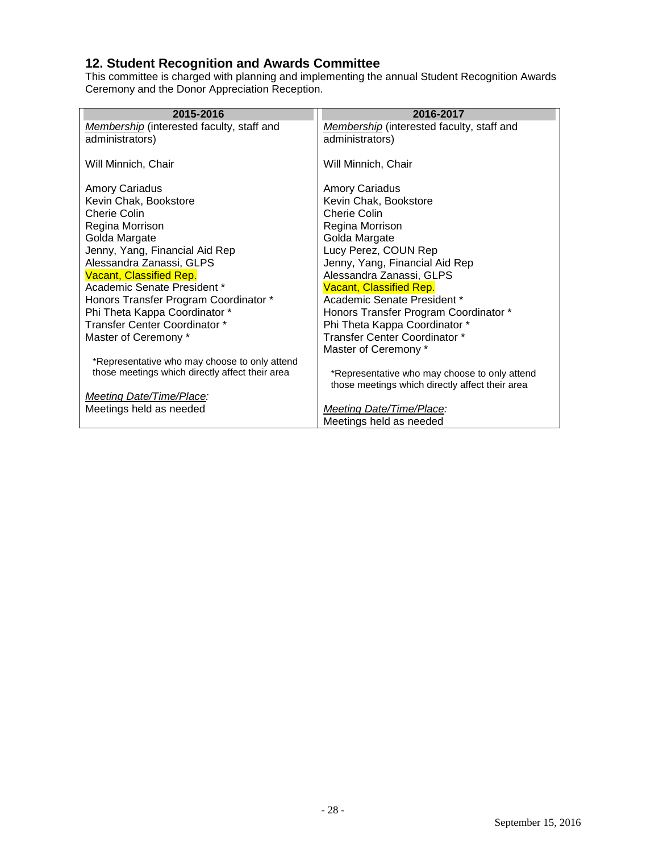## <span id="page-27-0"></span>**12. Student Recognition and Awards Committee**

This committee is charged with planning and implementing the annual Student Recognition Awards Ceremony and the Donor Appreciation Reception.

| 2015-2016                                       | 2016-2017                                       |
|-------------------------------------------------|-------------------------------------------------|
| Membership (interested faculty, staff and       | Membership (interested faculty, staff and       |
| administrators)                                 | administrators)                                 |
|                                                 |                                                 |
| Will Minnich, Chair                             | Will Minnich, Chair                             |
|                                                 |                                                 |
| <b>Amory Cariadus</b>                           | Amory Cariadus                                  |
| Kevin Chak, Bookstore                           | Kevin Chak, Bookstore                           |
| Cherie Colin                                    | Cherie Colin                                    |
| Regina Morrison                                 | Regina Morrison                                 |
| Golda Margate                                   | Golda Margate                                   |
| Jenny, Yang, Financial Aid Rep                  | Lucy Perez, COUN Rep                            |
| Alessandra Zanassi, GLPS                        | Jenny, Yang, Financial Aid Rep                  |
| Vacant, Classified Rep.                         | Alessandra Zanassi, GLPS                        |
| Academic Senate President *                     | <b>Vacant, Classified Rep.</b>                  |
| Honors Transfer Program Coordinator *           | Academic Senate President *                     |
| Phi Theta Kappa Coordinator *                   | Honors Transfer Program Coordinator *           |
| Transfer Center Coordinator *                   | Phi Theta Kappa Coordinator *                   |
| Master of Ceremony *                            | Transfer Center Coordinator *                   |
|                                                 | Master of Ceremony *                            |
| *Representative who may choose to only attend   |                                                 |
| those meetings which directly affect their area | *Representative who may choose to only attend   |
|                                                 | those meetings which directly affect their area |
| Meeting Date/Time/Place:                        |                                                 |
| Meetings held as needed                         | <b>Meeting Date/Time/Place:</b>                 |
|                                                 | Meetings held as needed                         |